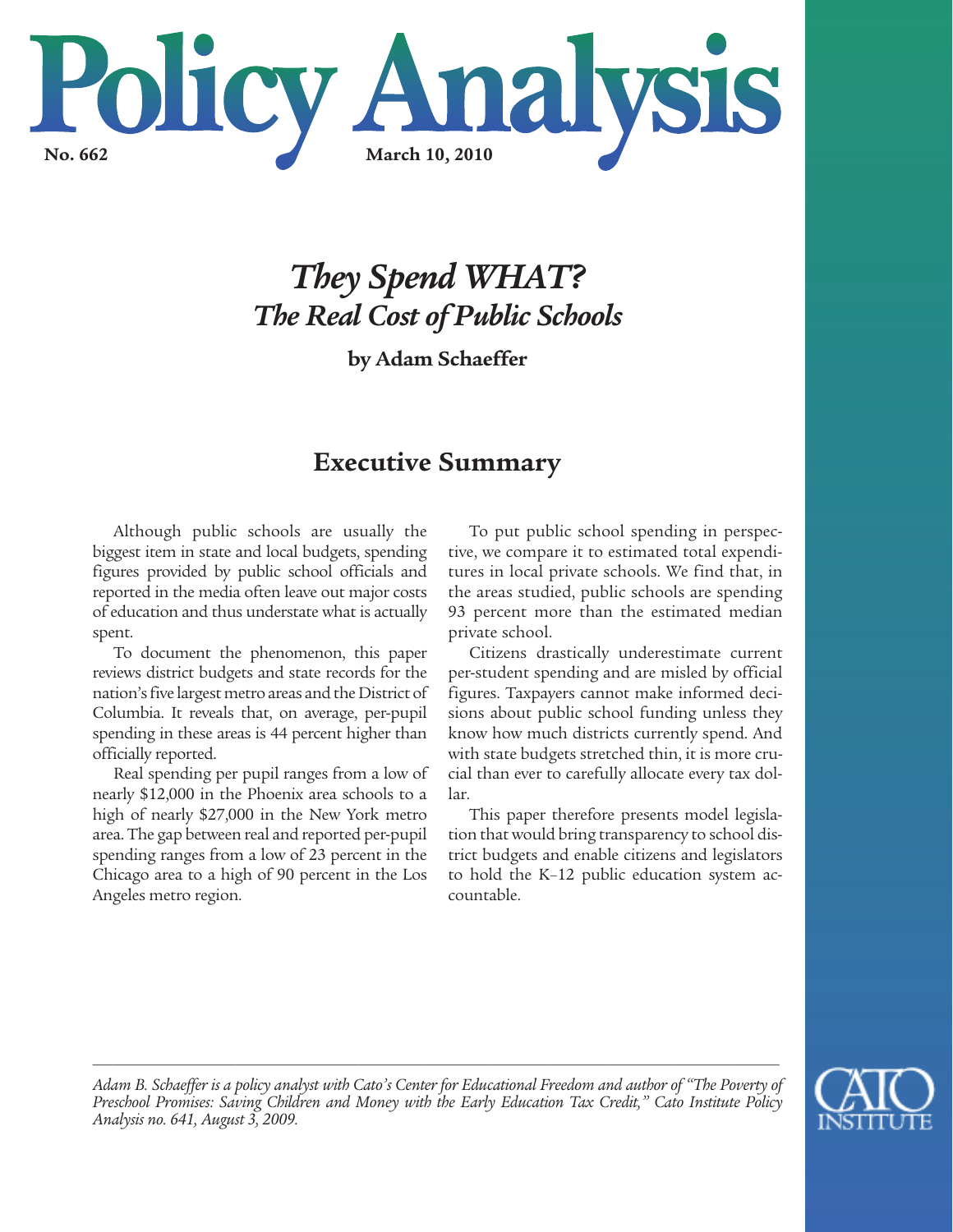

# *They Spend WHAT? The Real Cost of Public Schools*

**by Adam Schaeffer**

# **Executive Summary**

Although public schools are usually the biggest item in state and local budgets, spending figures provided by public school officials and reported in the media often leave out major costs of education and thus understate what is actually spent.

To document the phenomenon, this paper reviews district budgets and state records for the nation's five largest metro areas and the District of Columbia. It reveals that, on average, per-pupil spending in these areas is 44 percent higher than officially reported.

Real spending per pupil ranges from a low of nearly \$12,000 in the Phoenix area schools to a high of nearly \$27,000 in the New York metro area. The gap between real and reported per-pupil spending ranges from a low of 23 percent in the Chicago area to a high of 90 percent in the Los Angeles metro region.

To put public school spending in perspective, we compare it to estimated total expenditures in local private schools. We find that, in the areas studied, public schools are spending 93 percent more than the estimated median private school.

Citizens drastically underestimate current per-student spending and are misled by official figures. Taxpayers cannot make informed decisions about public school funding unless they know how much districts currently spend. And with state budgets stretched thin, it is more crucial than ever to carefully allocate every tax dollar.

This paper therefore presents model legislation that would bring transparency to school district budgets and enable citizens and legislators to hold the K–12 public education system accountable.



*Adam B. Schaeffer is a policy analyst with Cato's Center for Educational Freedom and author of "The Poverty of Preschool Promises: Saving Children and Money with the Early Education Tax Credit," Cato Institute Policy Analysis no. 641, August 3, 2009.*

*\_\_\_\_\_\_\_\_\_\_\_\_\_\_\_\_\_\_\_\_\_\_\_\_\_\_\_\_\_\_\_\_\_\_\_\_\_\_\_\_\_\_\_\_\_\_\_\_\_\_\_\_\_\_\_\_\_\_\_\_\_\_\_\_\_\_\_\_\_\_\_\_\_\_\_\_\_\_\_\_\_\_\_\_\_\_\_\_\_\_\_\_\_\_\_\_\_\_\_\_\_*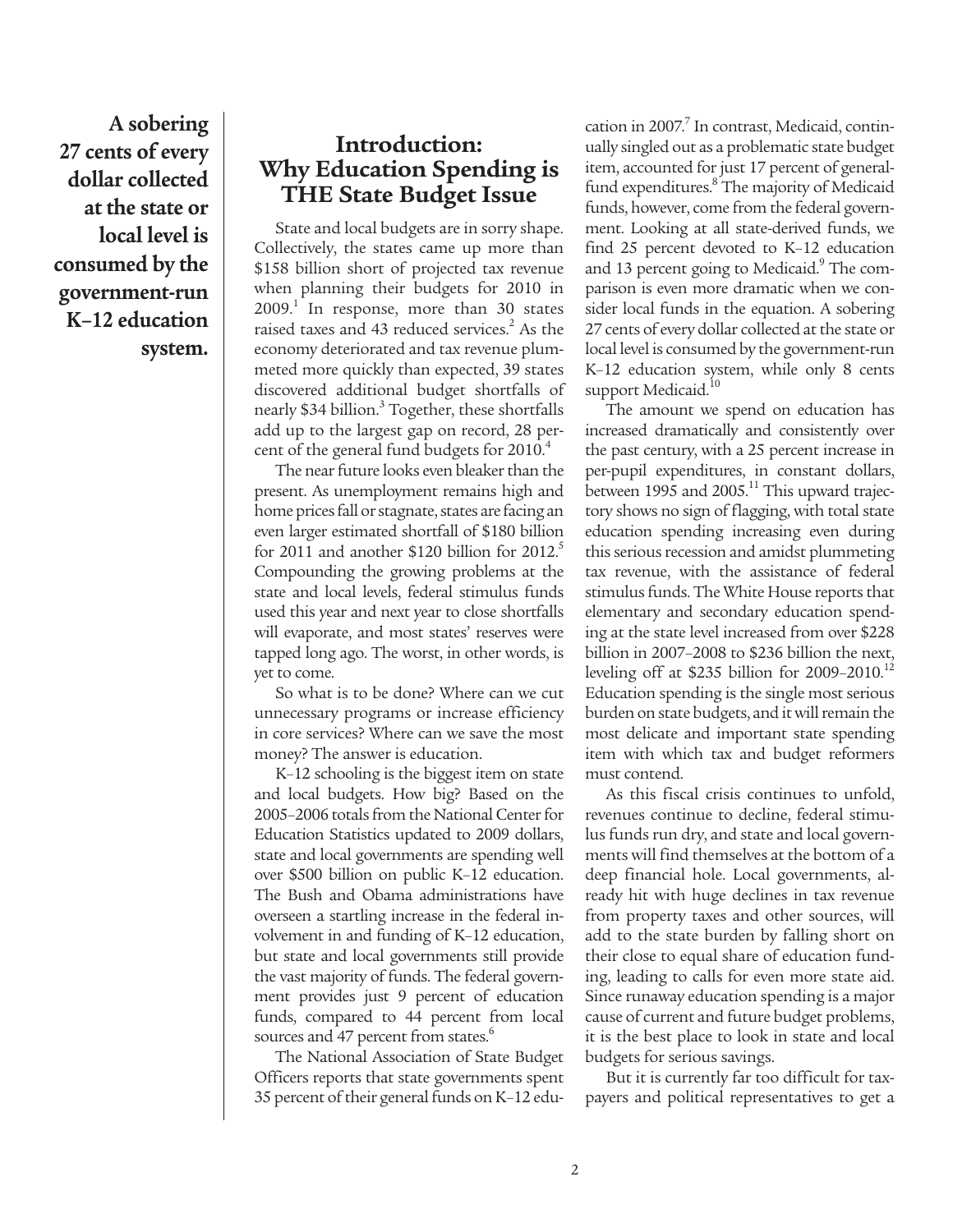**A sobering 27 cents of every dollar collected at the state or local level is consumed by the government-run K–12 education system.**

# **Introduction: Why Education Spending is THE State Budget Issue**

State and local budgets are in sorry shape. Collectively, the states came up more than \$158 billion short of projected tax revenue when planning their budgets for 2010 in  $2009<sup>1</sup>$  In response, more than 30 states raised taxes and 43 reduced services.<sup>2</sup> As the economy deteriorated and tax revenue plummeted more quickly than expected, 39 states discovered additional budget shortfalls of nearly \$34 billion.<sup>3</sup> Together, these shortfalls add up to the largest gap on record, 28 percent of the general fund budgets for 2010.<sup>4</sup>

The near future looks even bleaker than the present. As unemployment remains high and home prices fall or stagnate, states are facing an even larger estimated shortfall of \$180 billion for 2011 and another \$120 billion for  $2012$ .<sup>5</sup> Compounding the growing problems at the state and local levels, federal stimulus funds used this year and next year to close shortfalls will evaporate, and most states' reserves were tapped long ago. The worst, in other words, is yet to come.

So what is to be done? Where can we cut unnecessary programs or increase efficiency in core services? Where can we save the most money? The answer is education.

K-12 schooling is the biggest item on state and local budgets. How big? Based on the 2005–2006 totals from the National Center for Education Statistics updated to 2009 dollars, state and local governments are spending well over \$500 billion on public K–12 education. The Bush and Obama administrations have overseen a startling increase in the federal involvement in and funding of K–12 education, but state and local governments still provide the vast majority of funds. The federal government provides just 9 percent of education funds, compared to 44 percent from local sources and 47 percent from states.<sup>6</sup>

The National Association of State Budget Officers reports that state governments spent 35 percent of their general funds on K–12 education in 2007. $^7$  In contrast, Medicaid, continually singled out as a problematic state budget item, accounted for just 17 percent of generalfund expenditures.<sup>8</sup> The majority of Medicaid funds, however, come from the federal government. Looking at all state-derived funds, we find 25 percent devoted to K–12 education and 13 percent going to Medicaid.<sup>9</sup> The comparison is even more dramatic when we consider local funds in the equation. A sobering 27 cents of every dollar collected at the state or local level is consumed by the government-run K–12 education system, while only 8 cents support Medicaid.<sup>10</sup>

The amount we spend on education has increased dramatically and consistently over the past century, with a 25 percent increase in per-pupil expenditures, in constant dollars, between 1995 and  $2005$ .<sup>11</sup> This upward trajectory shows no sign of flagging, with total state education spending increasing even during this serious recession and amidst plummeting tax revenue, with the assistance of federal stimulus funds. The White House reports that elementary and secondary education spending at the state level increased from over \$228 billion in 2007–2008 to \$236 billion the next, leveling off at \$235 billion for  $2009-2010$ .<sup>12</sup> Education spending is the single most serious burden on state budgets, and it will remain the most delicate and important state spending item with which tax and budget reformers must contend.

As this fiscal crisis continues to unfold, revenues continue to decline, federal stimulus funds run dry, and state and local governments will find themselves at the bottom of a deep financial hole. Local governments, already hit with huge declines in tax revenue from property taxes and other sources, will add to the state burden by falling short on their close to equal share of education funding, leading to calls for even more state aid. Since runaway education spending is a major cause of current and future budget problems, it is the best place to look in state and local budgets for serious savings.

But it is currently far too difficult for taxpayers and political representatives to get a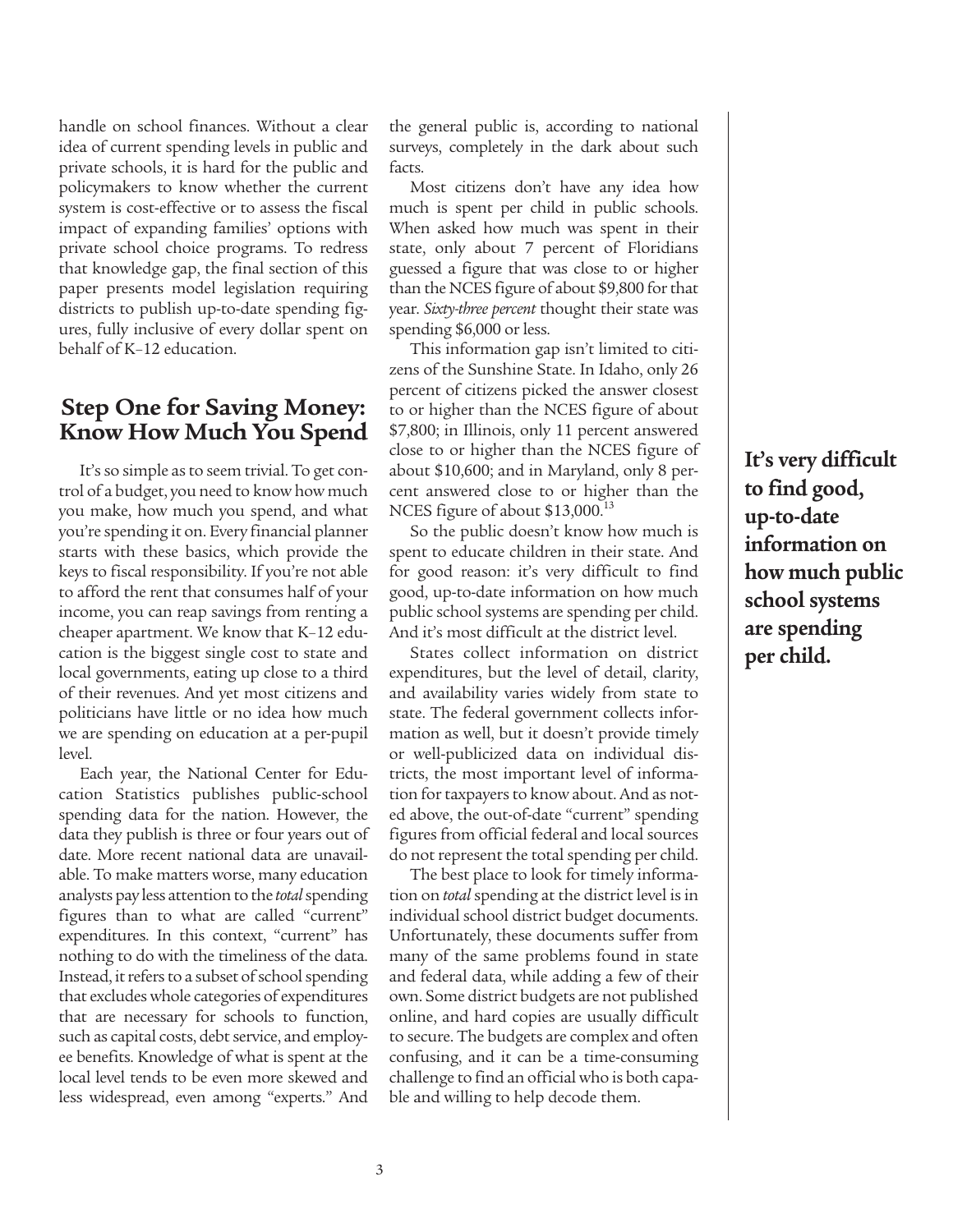handle on school finances. Without a clear idea of current spending levels in public and private schools, it is hard for the public and policymakers to know whether the current system is cost-effective or to assess the fiscal impact of expanding families' options with private school choice programs. To redress that knowledge gap, the final section of this paper presents model legislation requiring districts to publish up-to-date spending figures, fully inclusive of every dollar spent on behalf of K–12 education.

# **Step One for Saving Money: Know How Much You Spend**

It's so simple as to seem trivial. To get control of a budget, you need to know how much you make, how much you spend, and what you're spending it on. Every financial planner starts with these basics, which provide the keys to fiscal responsibility. If you're not able to afford the rent that consumes half of your income, you can reap savings from renting a cheaper apartment. We know that K–12 education is the biggest single cost to state and local governments, eating up close to a third of their revenues. And yet most citizens and politicians have little or no idea how much we are spending on education at a per-pupil level.

Each year, the National Center for Education Statistics publishes public-school spending data for the nation. However, the data they publish is three or four years out of date. More recent national data are unavailable. To make matters worse, many education analysts pay less attention to the *total*spending figures than to what are called "current" expenditures. In this context, "current" has nothing to do with the timeliness of the data. Instead, it refers to a subset of school spending that excludes whole categories of expenditures that are necessary for schools to function, such as capital costs, debt service, and employee benefits. Knowledge of what is spent at the local level tends to be even more skewed and less widespread, even among "experts." And

the general public is, according to national surveys, completely in the dark about such facts.

Most citizens don't have any idea how much is spent per child in public schools. When asked how much was spent in their state, only about 7 percent of Floridians guessed a figure that was close to or higher than the NCES figure of about \$9,800 for that year. *Sixty-three percent* thought their state was spending \$6,000 or less.

This information gap isn't limited to citizens of the Sunshine State. In Idaho, only 26 percent of citizens picked the answer closest to or higher than the NCES figure of about \$7,800; in Illinois, only 11 percent answered close to or higher than the NCES figure of about \$10,600; and in Maryland, only 8 percent answered close to or higher than the NCES figure of about \$13,000.<sup>13</sup>

So the public doesn't know how much is spent to educate children in their state. And for good reason: it's very difficult to find good, up-to-date information on how much public school systems are spending per child. And it's most difficult at the district level.

States collect information on district expenditures, but the level of detail, clarity, and availability varies widely from state to state. The federal government collects information as well, but it doesn't provide timely or well-publicized data on individual districts, the most important level of information for taxpayers to know about. And as noted above, the out-of-date "current" spending figures from official federal and local sources do not represent the total spending per child.

The best place to look for timely information on *total*spending at the district level is in individual school district budget documents. Unfortunately, these documents suffer from many of the same problems found in state and federal data, while adding a few of their own. Some district budgets are not published online, and hard copies are usually difficult to secure. The budgets are complex and often confusing, and it can be a time-consuming challenge to find an official who is both capable and willing to help decode them.

**It's very difficult to find good, up-to-date information on how much public school systems are spending per child.**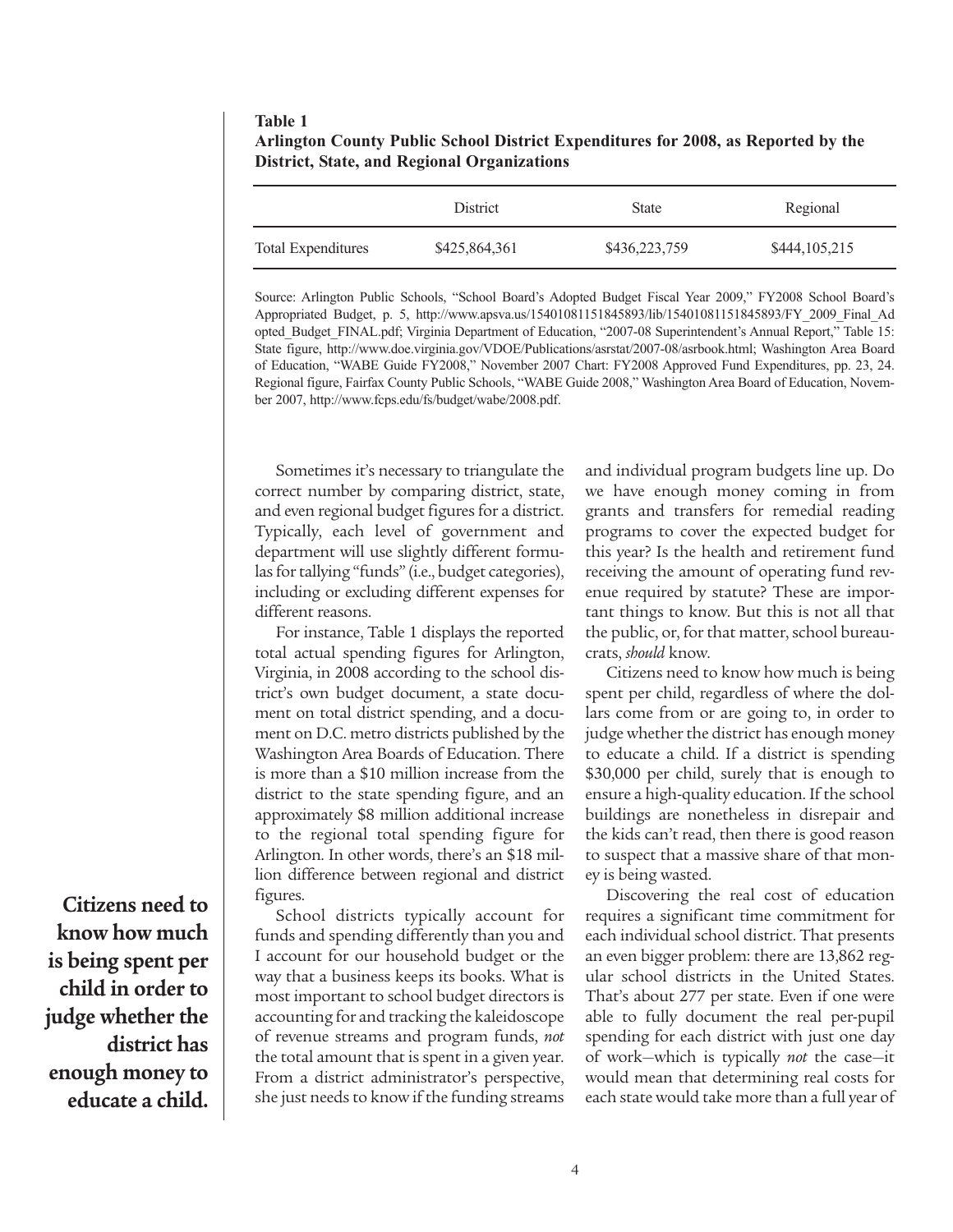### **Table 1 Arlington County Public School District Expenditures for 2008, as Reported by the District, State, and Regional Organizations**

|                    | <b>District</b> | <b>State</b>  | Regional      |
|--------------------|-----------------|---------------|---------------|
| Total Expenditures | \$425,864,361   | \$436,223,759 | \$444,105,215 |

Source: Arlington Public Schools, "School Board's Adopted Budget Fiscal Year 2009," FY2008 School Board's Appropriated Budget, p. 5, http://www.apsva.us/15401081151845893/lib/15401081151845893/FY\_2009\_Final\_Ad opted\_Budget\_FINAL.pdf; Virginia Department of Education, "2007-08 Superintendent's Annual Report," Table 15: State figure, http://www.doe.virginia.gov/VDOE/Publications/asrstat/2007-08/asrbook.html; Washington Area Board of Education, "WABE Guide FY2008," November 2007 Chart: FY2008 Approved Fund Expenditures, pp. 23, 24. Regional figure, Fairfax County Public Schools, "WABE Guide 2008," Washington Area Board of Education, November 2007, http://www.fcps.edu/fs/budget/wabe/2008.pdf.

Sometimes it's necessary to triangulate the correct number by comparing district, state, and even regional budget figures for a district. Typically, each level of government and department will use slightly different formulas for tallying "funds" (i.e., budget categories), including or excluding different expenses for different reasons.

For instance, Table 1 displays the reported total actual spending figures for Arlington, Virginia, in 2008 according to the school district's own budget document, a state document on total district spending, and a document on D.C. metro districts published by the Washington Area Boards of Education. There is more than a \$10 million increase from the district to the state spending figure, and an approximately \$8 million additional increase to the regional total spending figure for Arlington. In other words, there's an \$18 million difference between regional and district figures.

School districts typically account for funds and spending differently than you and I account for our household budget or the way that a business keeps its books. What is most important to school budget directors is accounting for and tracking the kaleidoscope of revenue streams and program funds, *not* the total amount that is spent in a given year. From a district administrator's perspective, she just needs to know if the funding streams

and individual program budgets line up. Do we have enough money coming in from grants and transfers for remedial reading programs to cover the expected budget for this year? Is the health and retirement fund receiving the amount of operating fund revenue required by statute? These are important things to know. But this is not all that the public, or, for that matter, school bureaucrats, *should* know.

Citizens need to know how much is being spent per child, regardless of where the dollars come from or are going to, in order to judge whether the district has enough money to educate a child. If a district is spending \$30,000 per child, surely that is enough to ensure a high-quality education. If the school buildings are nonetheless in disrepair and the kids can't read, then there is good reason to suspect that a massive share of that money is being wasted.

Discovering the real cost of education requires a significant time commitment for each individual school district. That presents an even bigger problem: there are 13,862 regular school districts in the United States. That's about 277 per state. Even if one were able to fully document the real per-pupil spending for each district with just one day of work—which is typically *not* the case—it would mean that determining real costs for each state would take more than a full year of

**Citizens need to know how much is being spent per child in order to judge whether the district has enough money to educate a child.**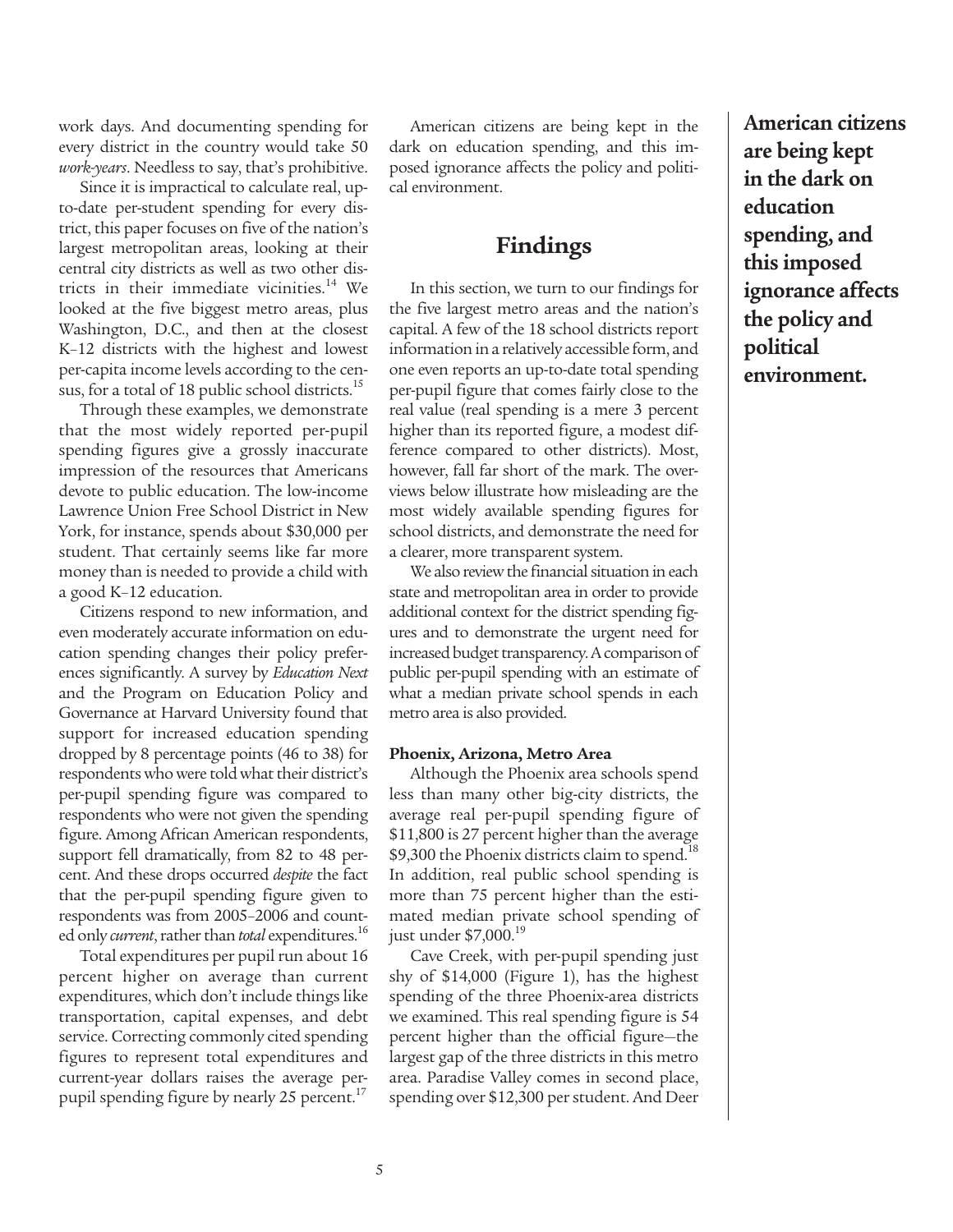work days. And documenting spending for every district in the country would take 50 *work-years*. Needless to say, that's prohibitive.

Since it is impractical to calculate real, upto-date per-student spending for every district, this paper focuses on five of the nation's largest metropolitan areas, looking at their central city districts as well as two other districts in their immediate vicinities. $14$  We looked at the five biggest metro areas, plus Washington, D.C., and then at the closest K–12 districts with the highest and lowest per-capita income levels according to the census, for a total of 18 public school districts.<sup>15</sup>

Through these examples, we demonstrate that the most widely reported per-pupil spending figures give a grossly inaccurate impression of the resources that Americans devote to public education. The low-income Lawrence Union Free School District in New York, for instance, spends about \$30,000 per student. That certainly seems like far more money than is needed to provide a child with a good K–12 education.

Citizens respond to new information, and even moderately accurate information on education spending changes their policy preferences significantly. A survey by *Education Next* and the Program on Education Policy and Governance at Harvard University found that support for increased education spending dropped by 8 percentage points (46 to 38) for respondents who were told what their district's per-pupil spending figure was compared to respondents who were not given the spending figure. Among African American respondents, support fell dramatically, from 82 to 48 percent. And these drops occurred *despite* the fact that the per-pupil spending figure given to respondents was from 2005–2006 and counted only *current*, rather than *total* expenditures.<sup>16</sup>

Total expenditures per pupil run about 16 percent higher on average than current expenditures, which don't include things like transportation, capital expenses, and debt service. Correcting commonly cited spending figures to represent total expenditures and current-year dollars raises the average perpupil spending figure by nearly 25 percent.<sup>17</sup>

American citizens are being kept in the dark on education spending, and this imposed ignorance affects the policy and political environment.

# **Findings**

In this section, we turn to our findings for the five largest metro areas and the nation's capital. A few of the 18 school districts report information in a relatively accessible form, and one even reports an up-to-date total spending per-pupil figure that comes fairly close to the real value (real spending is a mere 3 percent higher than its reported figure, a modest difference compared to other districts). Most, however, fall far short of the mark. The overviews below illustrate how misleading are the most widely available spending figures for school districts, and demonstrate the need for a clearer, more transparent system.

We also review the financial situation in each state and metropolitan area in order to provide additional context for the district spending figures and to demonstrate the urgent need for increased budget transparency. A comparison of public per-pupil spending with an estimate of what a median private school spends in each metro area is also provided.

#### **Phoenix, Arizona, Metro Area**

Although the Phoenix area schools spend less than many other big-city districts, the average real per-pupil spending figure of \$11,800 is 27 percent higher than the average \$9,300 the Phoenix districts claim to spend.<sup>18</sup> In addition, real public school spending is more than 75 percent higher than the estimated median private school spending of just under \$7,000.<sup>19</sup>

Cave Creek, with per-pupil spending just shy of \$14,000 (Figure 1), has the highest spending of the three Phoenix-area districts we examined. This real spending figure is 54 percent higher than the official figure—the largest gap of the three districts in this metro area. Paradise Valley comes in second place, spending over \$12,300 per student. And Deer

**American citizens are being kept in the dark on education spending, and this imposed ignorance affects the policy and political environment.**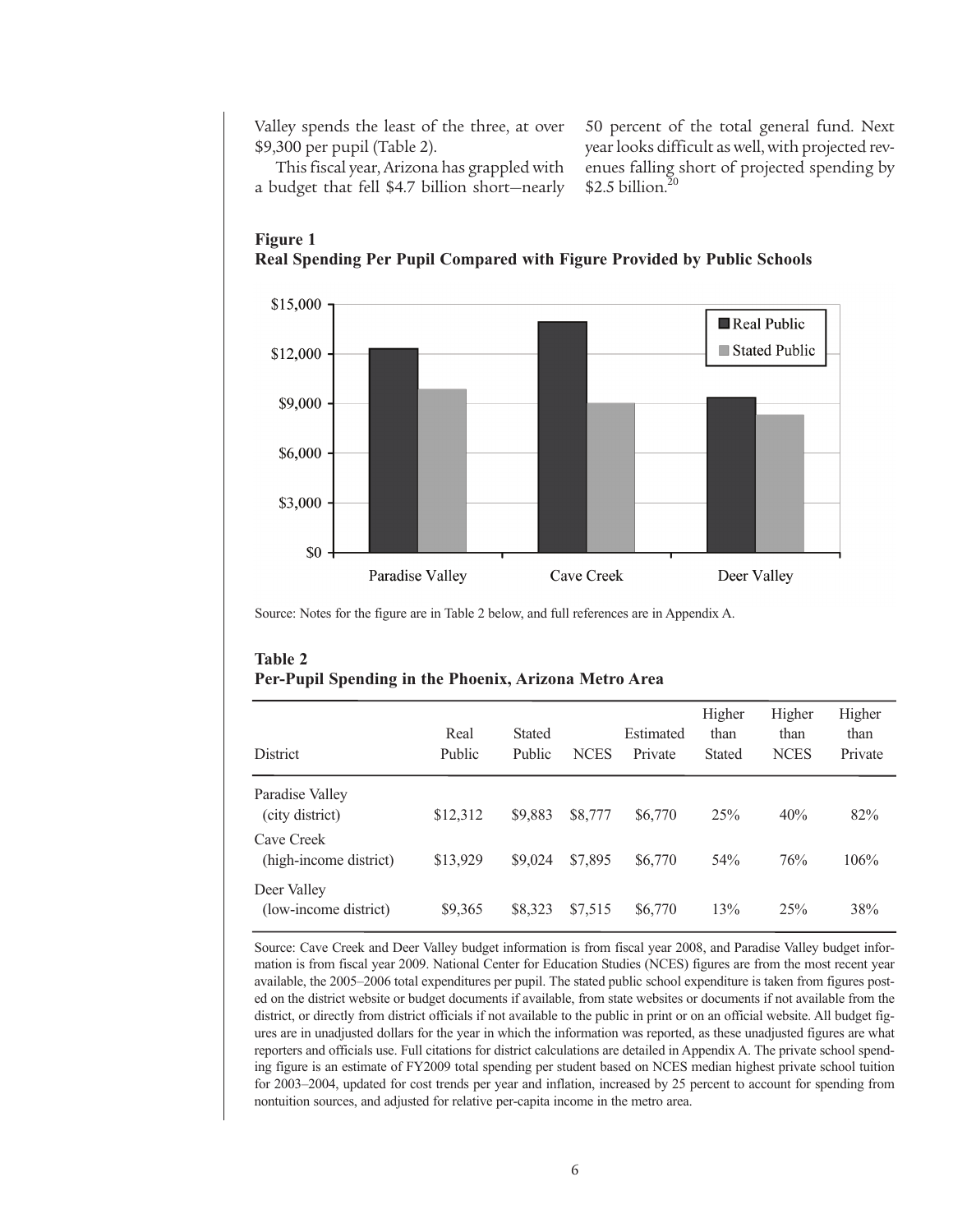Valley spends the least of the three, at over \$9,300 per pupil (Table 2).

50 percent of the total general fund. Next year looks difficult as well, with projected revenues falling short of projected spending by \$2.5 billion. $20$ 

This fiscal year, Arizona has grappled with a budget that fell \$4.7 billion short—nearly





Source: Notes for the figure are in Table 2 below, and full references are in Appendix A.

#### **Table 2 Per-Pupil Spending in the Phoenix, Arizona Metro Area**

| <b>District</b>                      | Real<br>Public | <b>Stated</b><br>Public | <b>NCES</b> | Estimated<br>Private | Higher<br>than<br><b>Stated</b> | Higher<br>than<br><b>NCES</b> | Higher<br>than<br>Private |
|--------------------------------------|----------------|-------------------------|-------------|----------------------|---------------------------------|-------------------------------|---------------------------|
| Paradise Valley<br>(city district)   | \$12,312       | \$9,883                 | \$8,777     | \$6,770              | 25%                             | 40%                           | 82%                       |
| Cave Creek<br>(high-income district) | \$13,929       | \$9,024                 | \$7,895     | \$6,770              | 54%                             | 76%                           | 106%                      |
| Deer Valley<br>(low-income district) | \$9,365        | \$8,323                 | \$7,515     | \$6,770              | 13%                             | 25%                           | 38%                       |

Source: Cave Creek and Deer Valley budget information is from fiscal year 2008, and Paradise Valley budget information is from fiscal year 2009. National Center for Education Studies (NCES) figures are from the most recent year available, the 2005–2006 total expenditures per pupil. The stated public school expenditure is taken from figures posted on the district website or budget documents if available, from state websites or documents if not available from the district, or directly from district officials if not available to the public in print or on an official website. All budget figures are in unadjusted dollars for the year in which the information was reported, as these unadjusted figures are what reporters and officials use. Full citations for district calculations are detailed in Appendix A. The private school spending figure is an estimate of FY2009 total spending per student based on NCES median highest private school tuition for 2003–2004, updated for cost trends per year and inflation, increased by 25 percent to account for spending from nontuition sources, and adjusted for relative per-capita income in the metro area.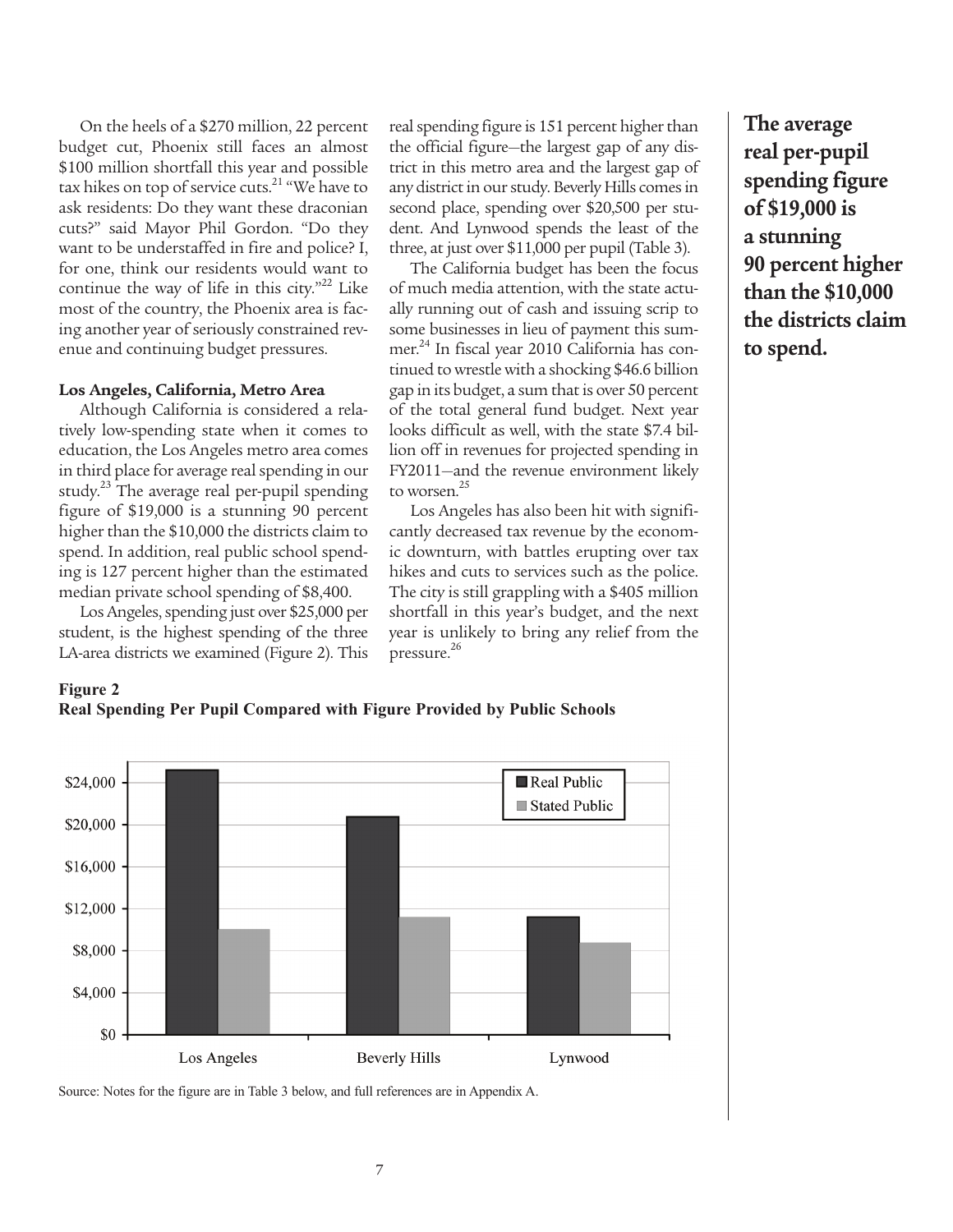On the heels of a \$270 million, 22 percent budget cut, Phoenix still faces an almost \$100 million shortfall this year and possible tax hikes on top of service cuts.<sup>21</sup> "We have to ask residents: Do they want these draconian cuts?" said Mayor Phil Gordon. "Do they want to be understaffed in fire and police? I, for one, think our residents would want to continue the way of life in this city."<sup>22</sup> Like most of the country, the Phoenix area is facing another year of seriously constrained revenue and continuing budget pressures.

#### **Los Angeles, California, Metro Area**

Although California is considered a relatively low-spending state when it comes to education, the Los Angeles metro area comes in third place for average real spending in our study.<sup>23</sup> The average real per-pupil spending figure of \$19,000 is a stunning 90 percent higher than the \$10,000 the districts claim to spend. In addition, real public school spending is 127 percent higher than the estimated median private school spending of \$8,400.

Los Angeles, spending just over \$25,000 per student, is the highest spending of the three LA-area districts we examined (Figure 2). This real spending figure is 151 percent higher than the official figure—the largest gap of any district in this metro area and the largest gap of any district in our study. Beverly Hills comes in second place, spending over \$20,500 per student. And Lynwood spends the least of the three, at just over \$11,000 per pupil (Table 3).

The California budget has been the focus of much media attention, with the state actually running out of cash and issuing scrip to some businesses in lieu of payment this summer. <sup>24</sup> In fiscal year 2010 California has continued to wrestle with a shocking \$46.6 billion gap in its budget, a sum that is over 50 percent of the total general fund budget. Next year looks difficult as well, with the state \$7.4 billion off in revenues for projected spending in FY2011—and the revenue environment likely to worsen.<sup>25</sup>

Los Angeles has also been hit with significantly decreased tax revenue by the economic downturn, with battles erupting over tax hikes and cuts to services such as the police. The city is still grappling with a \$405 million shortfall in this year's budget, and the next year is unlikely to bring any relief from the pressure.<sup>26</sup>

**The average real per-pupil spending figure of \$19,000 is a stunning 90 percent higher than the \$10,000 the districts claim to spend.**





Source: Notes for the figure are in Table 3 below, and full references are in Appendix A.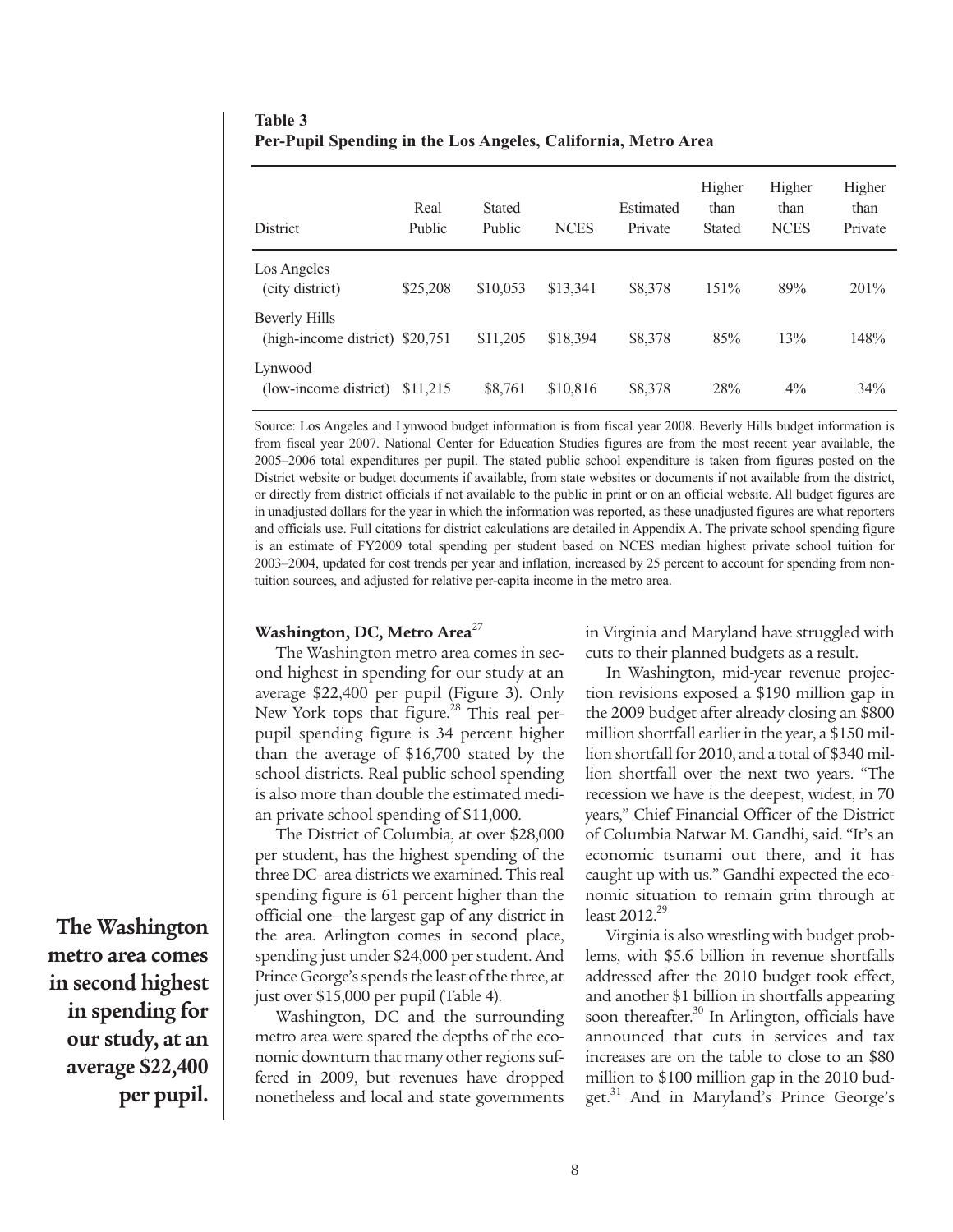| District                                         | Real<br>Public | <b>Stated</b><br>Public | <b>NCES</b> | Estimated<br>Private | Higher<br>than<br><b>Stated</b> | Higher<br>than<br><b>NCES</b> | Higher<br>than<br>Private |
|--------------------------------------------------|----------------|-------------------------|-------------|----------------------|---------------------------------|-------------------------------|---------------------------|
| Los Angeles<br>(city district)                   | \$25,208       | \$10,053                | \$13.341    | \$8,378              | 151%                            | 89%                           | $201\%$                   |
| Beverly Hills<br>(high-income district) \$20,751 |                | \$11,205                | \$18,394    | \$8,378              | 85%                             | 13%                           | 148%                      |
| Lynwood<br>(low-income district)                 | \$11,215       | \$8,761                 | \$10,816    | \$8,378              | 28%                             | $4\%$                         | 34%                       |

**Table 3 Per-Pupil Spending in the Los Angeles, California, Metro Area**

Source: Los Angeles and Lynwood budget information is from fiscal year 2008. Beverly Hills budget information is from fiscal year 2007. National Center for Education Studies figures are from the most recent year available, the 2005–2006 total expenditures per pupil. The stated public school expenditure is taken from figures posted on the District website or budget documents if available, from state websites or documents if not available from the district, or directly from district officials if not available to the public in print or on an official website. All budget figures are in unadjusted dollars for the year in which the information was reported, as these unadjusted figures are what reporters and officials use. Full citations for district calculations are detailed in Appendix A. The private school spending figure is an estimate of FY2009 total spending per student based on NCES median highest private school tuition for 2003–2004, updated for cost trends per year and inflation, increased by 25 percent to account for spending from nontuition sources, and adjusted for relative per-capita income in the metro area.

#### Washington, DC, Metro Area<sup>27</sup>

The Washington metro area comes in second highest in spending for our study at an average \$22,400 per pupil (Figure 3). Only New York tops that figure.<sup>28</sup> This real perpupil spending figure is 34 percent higher than the average of \$16,700 stated by the school districts. Real public school spending is also more than double the estimated median private school spending of \$11,000.

The District of Columbia, at over \$28,000 per student, has the highest spending of the three DC–area districts we examined. This real spending figure is 61 percent higher than the official one—the largest gap of any district in the area. Arlington comes in second place, spending just under \$24,000 per student. And Prince George's spends the least of the three, at just over \$15,000 per pupil (Table 4).

Washington, DC and the surrounding metro area were spared the depths of the economic downturn that many other regions suffered in 2009, but revenues have dropped nonetheless and local and state governments in Virginia and Maryland have struggled with cuts to their planned budgets as a result.

In Washington, mid-year revenue projection revisions exposed a \$190 million gap in the 2009 budget after already closing an \$800 million shortfall earlier in the year, a \$150 million shortfall for 2010, and a total of \$340 million shortfall over the next two years. "The recession we have is the deepest, widest, in 70 years," Chief Financial Officer of the District of Columbia Natwar M. Gandhi, said. "It's an economic tsunami out there, and it has caught up with us." Gandhi expected the economic situation to remain grim through at least  $2012^{29}$ 

Virginia is also wrestling with budget problems, with \$5.6 billion in revenue shortfalls addressed after the 2010 budget took effect, and another \$1 billion in shortfalls appearing soon thereafter.<sup>30</sup> In Arlington, officials have announced that cuts in services and tax increases are on the table to close to an \$80 million to \$100 million gap in the 2010 budget.<sup>31</sup> And in Maryland's Prince George's

**The Washington metro area comes in second highest in spending for our study, at an average \$22,400 per pupil.**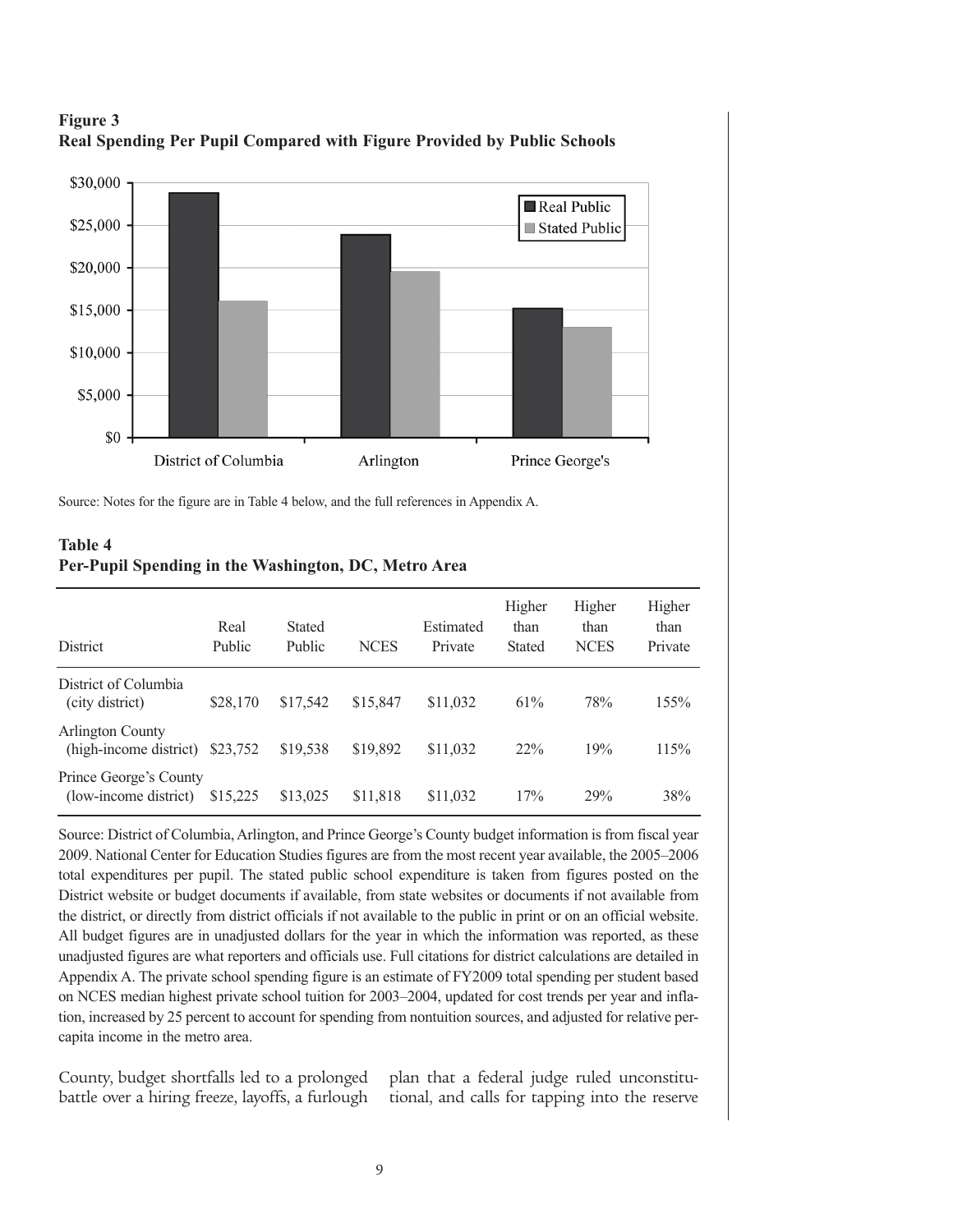



Source: Notes for the figure are in Table 4 below, and the full references in Appendix A.

# **Table 4 Per-Pupil Spending in the Washington, DC, Metro Area**

| District                                          | Real<br>Public | <b>Stated</b><br>Public | <b>NCES</b> | Estimated<br>Private | Higher<br>than<br><b>Stated</b> | Higher<br>than<br><b>NCES</b> | Higher<br>than<br>Private |
|---------------------------------------------------|----------------|-------------------------|-------------|----------------------|---------------------------------|-------------------------------|---------------------------|
| District of Columbia<br>(city district)           | \$28,170       | \$17,542                | \$15,847    | \$11,032             | 61%                             | 78%                           | 155%                      |
| <b>Arlington County</b><br>(high-income district) | \$23,752       | \$19,538                | \$19,892    | \$11,032             | $22\%$                          | 19%                           | 115%                      |
| Prince George's County<br>(low-income district)   | \$15,225       | \$13,025                | \$11,818    | \$11,032             | 17%                             | 29%                           | 38%                       |

Source: District of Columbia, Arlington, and Prince George's County budget information is from fiscal year 2009. National Center for Education Studies figures are from the most recent year available, the 2005–2006 total expenditures per pupil. The stated public school expenditure is taken from figures posted on the District website or budget documents if available, from state websites or documents if not available from the district, or directly from district officials if not available to the public in print or on an official website. All budget figures are in unadjusted dollars for the year in which the information was reported, as these unadjusted figures are what reporters and officials use. Full citations for district calculations are detailed in Appendix A. The private school spending figure is an estimate of FY2009 total spending per student based on NCES median highest private school tuition for 2003–2004, updated for cost trends per year and inflation, increased by 25 percent to account for spending from nontuition sources, and adjusted for relative percapita income in the metro area.

County, budget shortfalls led to a prolonged battle over a hiring freeze, layoffs, a furlough

plan that a federal judge ruled unconstitutional, and calls for tapping into the reserve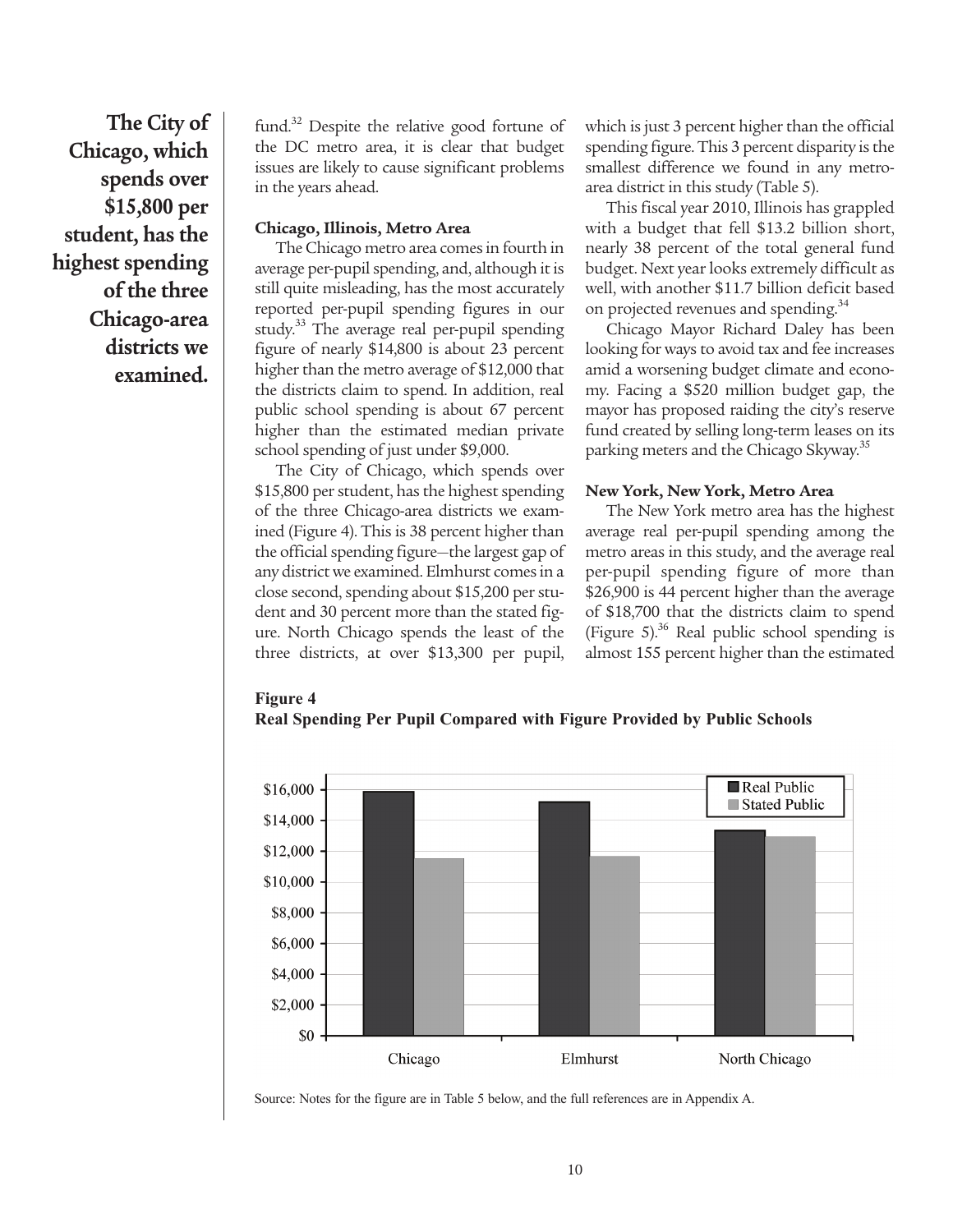**The City of Chicago, which spends over \$15,800 per student, has the highest spending of the three Chicago-area districts we examined.**

fund. $32$  Despite the relative good fortune of the DC metro area, it is clear that budget issues are likely to cause significant problems in the years ahead.

#### **Chicago, Illinois, Metro Area**

The Chicago metro area comes in fourth in average per-pupil spending, and, although it is still quite misleading, has the most accurately reported per-pupil spending figures in our study.<sup>33</sup> The average real per-pupil spending figure of nearly \$14,800 is about 23 percent higher than the metro average of \$12,000 that the districts claim to spend. In addition, real public school spending is about 67 percent higher than the estimated median private school spending of just under \$9,000.

The City of Chicago, which spends over \$15,800 per student, has the highest spending of the three Chicago-area districts we examined (Figure 4). This is 38 percent higher than the official spending figure—the largest gap of any district we examined. Elmhurst comes in a close second, spending about \$15,200 per student and 30 percent more than the stated figure. North Chicago spends the least of the three districts, at over \$13,300 per pupil,

which is just 3 percent higher than the official spending figure. This 3 percent disparity is the smallest difference we found in any metroarea district in this study (Table 5).

This fiscal year 2010, Illinois has grappled with a budget that fell \$13.2 billion short, nearly 38 percent of the total general fund budget. Next year looks extremely difficult as well, with another \$11.7 billion deficit based on projected revenues and spending.<sup>34</sup>

Chicago Mayor Richard Daley has been looking for ways to avoid tax and fee increases amid a worsening budget climate and economy. Facing a \$520 million budget gap, the mayor has proposed raiding the city's reserve fund created by selling long-term leases on its parking meters and the Chicago Skyway.<sup>35</sup>

#### **New York, New York, Metro Area**

The New York metro area has the highest average real per-pupil spending among the metro areas in this study, and the average real per-pupil spending figure of more than \$26,900 is 44 percent higher than the average of \$18,700 that the districts claim to spend (Figure 5). $36$  Real public school spending is almost 155 percent higher than the estimated

#### **Figure 4 Real Spending Per Pupil Compared with Figure Provided by Public Schools**



Source: Notes for the figure are in Table 5 below, and the full references are in Appendix A.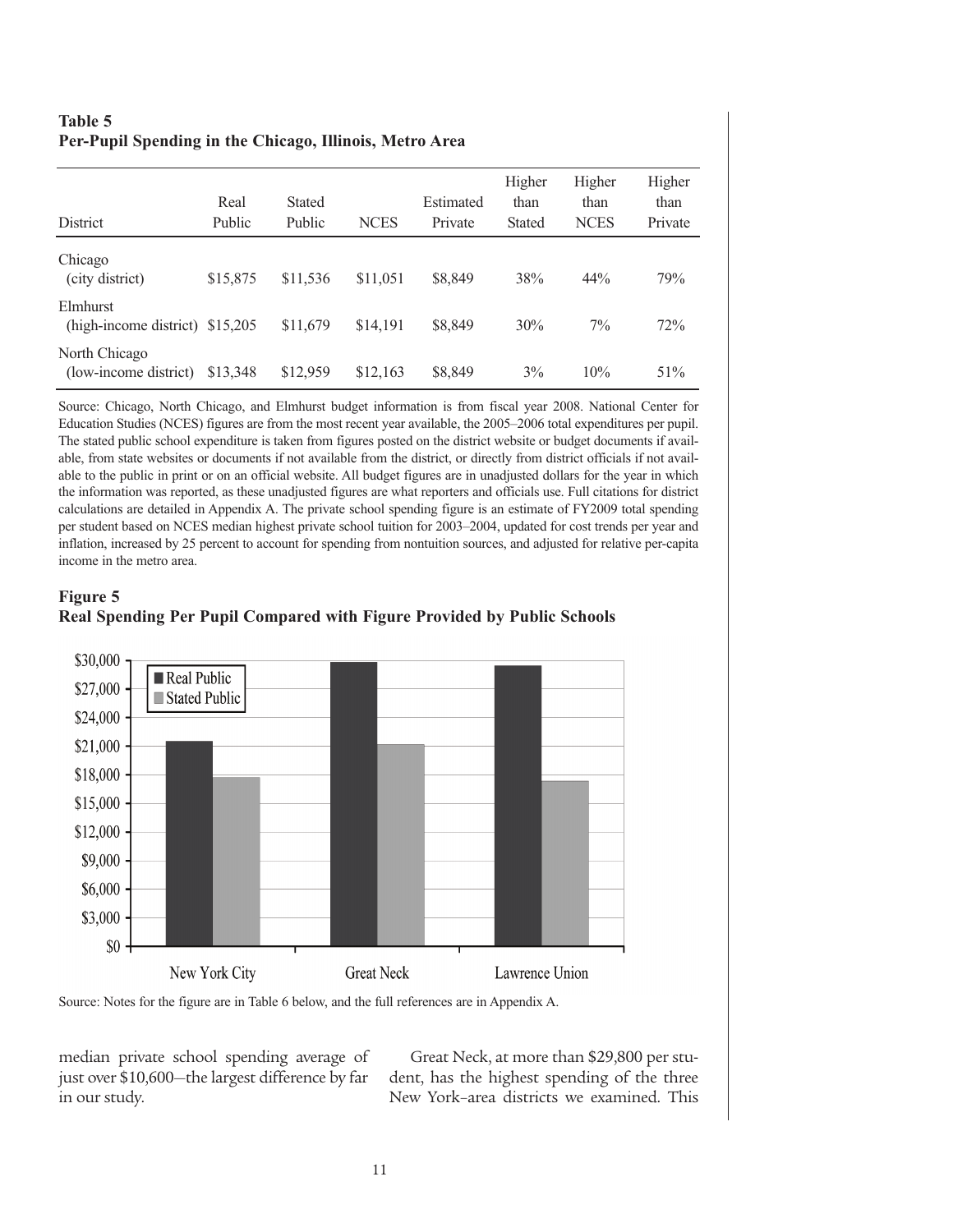# **Table 5 Per-Pupil Spending in the Chicago, Illinois, Metro Area**

| District                                    | Real<br>Public | <b>Stated</b><br>Public | <b>NCES</b> | Estimated<br>Private | Higher<br>than<br><b>Stated</b> | Higher<br>than<br><b>NCES</b> | Higher<br>than<br>Private |
|---------------------------------------------|----------------|-------------------------|-------------|----------------------|---------------------------------|-------------------------------|---------------------------|
| Chicago<br>(city district)                  | \$15,875       | \$11,536                | \$11,051    | \$8,849              | 38%                             | 44%                           | 79%                       |
| Elmhurst<br>(high-income district) \$15,205 |                | \$11,679                | \$14,191    | \$8,849              | 30%                             | $7\%$                         | 72%                       |
| North Chicago<br>(low-income district)      | \$13,348       | \$12,959                | \$12,163    | \$8,849              | $3\%$                           | 10%                           | 51%                       |

Source: Chicago, North Chicago, and Elmhurst budget information is from fiscal year 2008. National Center for Education Studies (NCES) figures are from the most recent year available, the 2005–2006 total expenditures per pupil. The stated public school expenditure is taken from figures posted on the district website or budget documents if available, from state websites or documents if not available from the district, or directly from district officials if not available to the public in print or on an official website. All budget figures are in unadjusted dollars for the year in which the information was reported, as these unadjusted figures are what reporters and officials use. Full citations for district calculations are detailed in Appendix A. The private school spending figure is an estimate of FY2009 total spending per student based on NCES median highest private school tuition for 2003–2004, updated for cost trends per year and inflation, increased by 25 percent to account for spending from nontuition sources, and adjusted for relative per-capita income in the metro area.

# **Figure 5 Real Spending Per Pupil Compared with Figure Provided by Public Schools**



Source: Notes for the figure are in Table 6 below, and the full references are in Appendix A.

median private school spending average of just over \$10,600—the largest difference by far in our study.

Great Neck, at more than \$29,800 per student, has the highest spending of the three New York–area districts we examined. This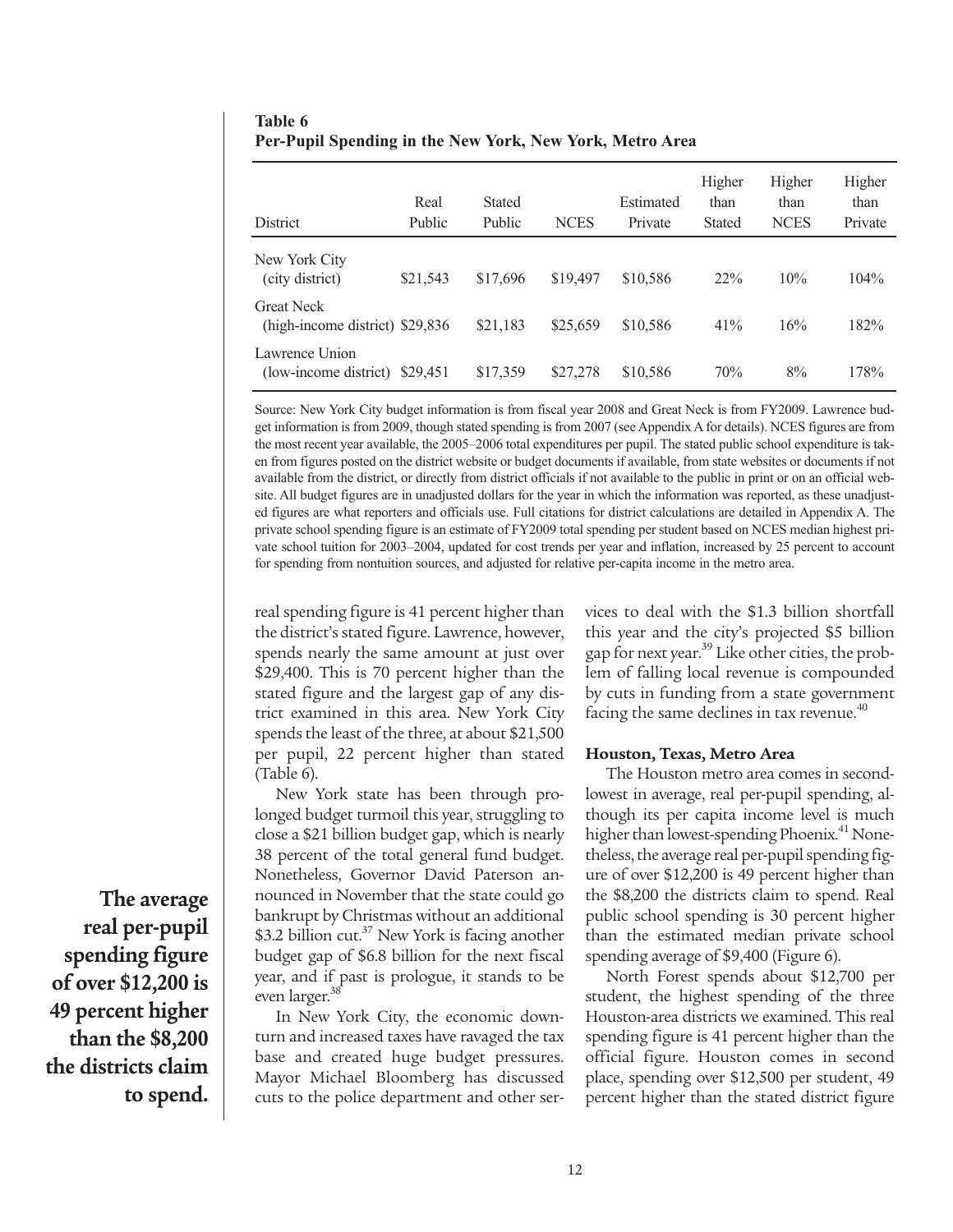| <b>District</b>                                      | Real<br>Public | <b>Stated</b><br>Public | <b>NCES</b> | Estimated<br>Private | Higher<br>than<br><b>Stated</b> | Higher<br>than<br><b>NCES</b> | Higher<br>than<br>Private |
|------------------------------------------------------|----------------|-------------------------|-------------|----------------------|---------------------------------|-------------------------------|---------------------------|
| New York City<br>(city district)                     | \$21,543       | \$17,696                | \$19,497    | \$10,586             | 22%                             | 10%                           | $104\%$                   |
| <b>Great Neck</b><br>(high-income district) \$29,836 |                | \$21,183                | \$25,659    | \$10,586             | 41%                             | 16%                           | 182%                      |
| Lawrence Union<br>(low-income district)              | \$29,451       | \$17,359                | \$27,278    | \$10,586             | 70%                             | 8%                            | 178%                      |

**Table 6 Per-Pupil Spending in the New York, New York, Metro Area**

Source: New York City budget information is from fiscal year 2008 and Great Neck is from FY2009. Lawrence budget information is from 2009, though stated spending is from 2007 (see Appendix A for details). NCES figures are from the most recent year available, the 2005–2006 total expenditures per pupil. The stated public school expenditure is taken from figures posted on the district website or budget documents if available, from state websites or documents if not available from the district, or directly from district officials if not available to the public in print or on an official website. All budget figures are in unadjusted dollars for the year in which the information was reported, as these unadjusted figures are what reporters and officials use. Full citations for district calculations are detailed in Appendix A. The private school spending figure is an estimate of FY2009 total spending per student based on NCES median highest private school tuition for 2003–2004, updated for cost trends per year and inflation, increased by 25 percent to account for spending from nontuition sources, and adjusted for relative per-capita income in the metro area.

real spending figure is 41 percent higher than the district's stated figure. Lawrence, however, spends nearly the same amount at just over \$29,400. This is 70 percent higher than the stated figure and the largest gap of any district examined in this area. New York City spends the least of the three, at about \$21,500 per pupil, 22 percent higher than stated (Table 6).

New York state has been through prolonged budget turmoil this year, struggling to close a \$21 billion budget gap, which is nearly 38 percent of the total general fund budget. Nonetheless, Governor David Paterson announced in November that the state could go bankrupt by Christmas without an additional \$3.2 billion cut.<sup>37</sup> New York is facing another budget gap of \$6.8 billion for the next fiscal year, and if past is prologue, it stands to be even larger.<sup>38</sup>

In New York City, the economic downturn and increased taxes have ravaged the tax base and created huge budget pressures. Mayor Michael Bloomberg has discussed cuts to the police department and other services to deal with the \$1.3 billion shortfall this year and the city's projected \$5 billion gap for next year.<sup>39</sup> Like other cities, the problem of falling local revenue is compounded by cuts in funding from a state government facing the same declines in tax revenue.<sup>40</sup>

#### **Houston, Texas, Metro Area**

The Houston metro area comes in secondlowest in average, real per-pupil spending, although its per capita income level is much higher than lowest-spending Phoenix.<sup>41</sup> Nonetheless, the average real per-pupil spending figure of over \$12,200 is 49 percent higher than the \$8,200 the districts claim to spend. Real public school spending is 30 percent higher than the estimated median private school spending average of \$9,400 (Figure 6).

North Forest spends about \$12,700 per student, the highest spending of the three Houston-area districts we examined. This real spending figure is 41 percent higher than the official figure. Houston comes in second place, spending over \$12,500 per student, 49 percent higher than the stated district figure

**The average real per-pupil spending figure of over \$12,200 is 49 percent higher than the \$8,200 the districts claim to spend.**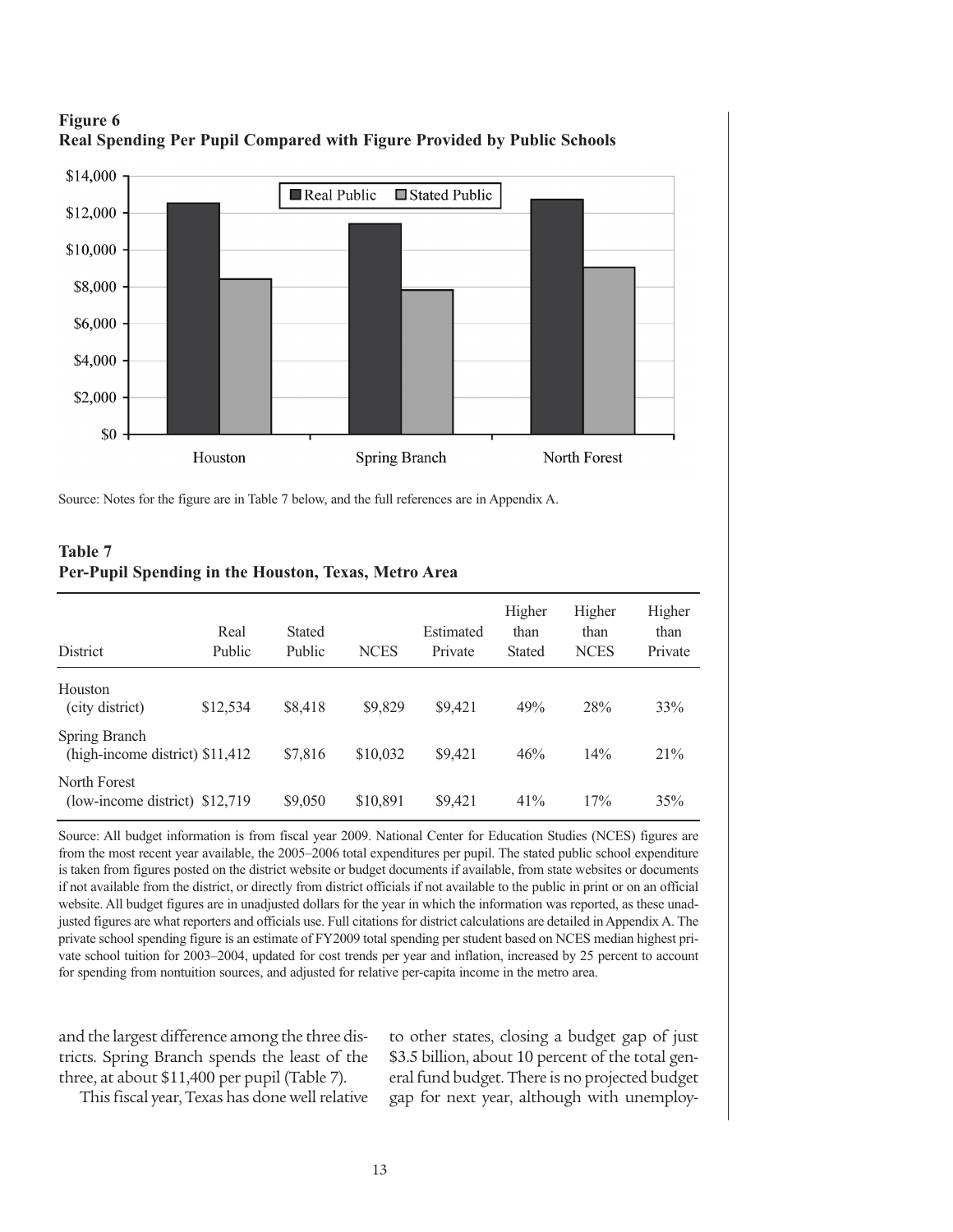



Source: Notes for the figure are in Table 7 below, and the full references are in Appendix A.

# **Table 7 Per-Pupil Spending in the Houston, Texas, Metro Area**

| District                                           | Real<br>Public | Stated<br>Public | <b>NCES</b> | Estimated<br>Private | Higher<br>than<br><b>Stated</b> | Higher<br>than<br><b>NCES</b> | Higher<br>than<br>Private |
|----------------------------------------------------|----------------|------------------|-------------|----------------------|---------------------------------|-------------------------------|---------------------------|
| Houston<br>(city district)                         | \$12,534       | \$8,418          | \$9,829     | \$9,421              | 49%                             | 28%                           | 33%                       |
| Spring Branch<br>$(high-income district)$ \$11,412 |                | \$7,816          | \$10,032    | \$9,421              | 46%                             | 14%                           | $21\%$                    |
| North Forest<br>(low-income district) $$12,719$    |                | \$9,050          | \$10,891    | \$9,421              | 41%                             | 17%                           | 35%                       |

Source: All budget information is from fiscal year 2009. National Center for Education Studies (NCES) figures are from the most recent year available, the 2005–2006 total expenditures per pupil. The stated public school expenditure is taken from figures posted on the district website or budget documents if available, from state websites or documents if not available from the district, or directly from district officials if not available to the public in print or on an official website. All budget figures are in unadjusted dollars for the year in which the information was reported, as these unadjusted figures are what reporters and officials use. Full citations for district calculations are detailed in Appendix A. The private school spending figure is an estimate of FY2009 total spending per student based on NCES median highest private school tuition for 2003–2004, updated for cost trends per year and inflation, increased by 25 percent to account for spending from nontuition sources, and adjusted for relative per-capita income in the metro area.

and the largest difference among the three districts. Spring Branch spends the least of the three, at about \$11,400 per pupil (Table 7).

This fiscal year, Texas has done well relative \$3.5 billion, about 10 percent of the total general fund budget. There is no projected budget gap for next year, although with unemploy-

to other states, closing a budget gap of just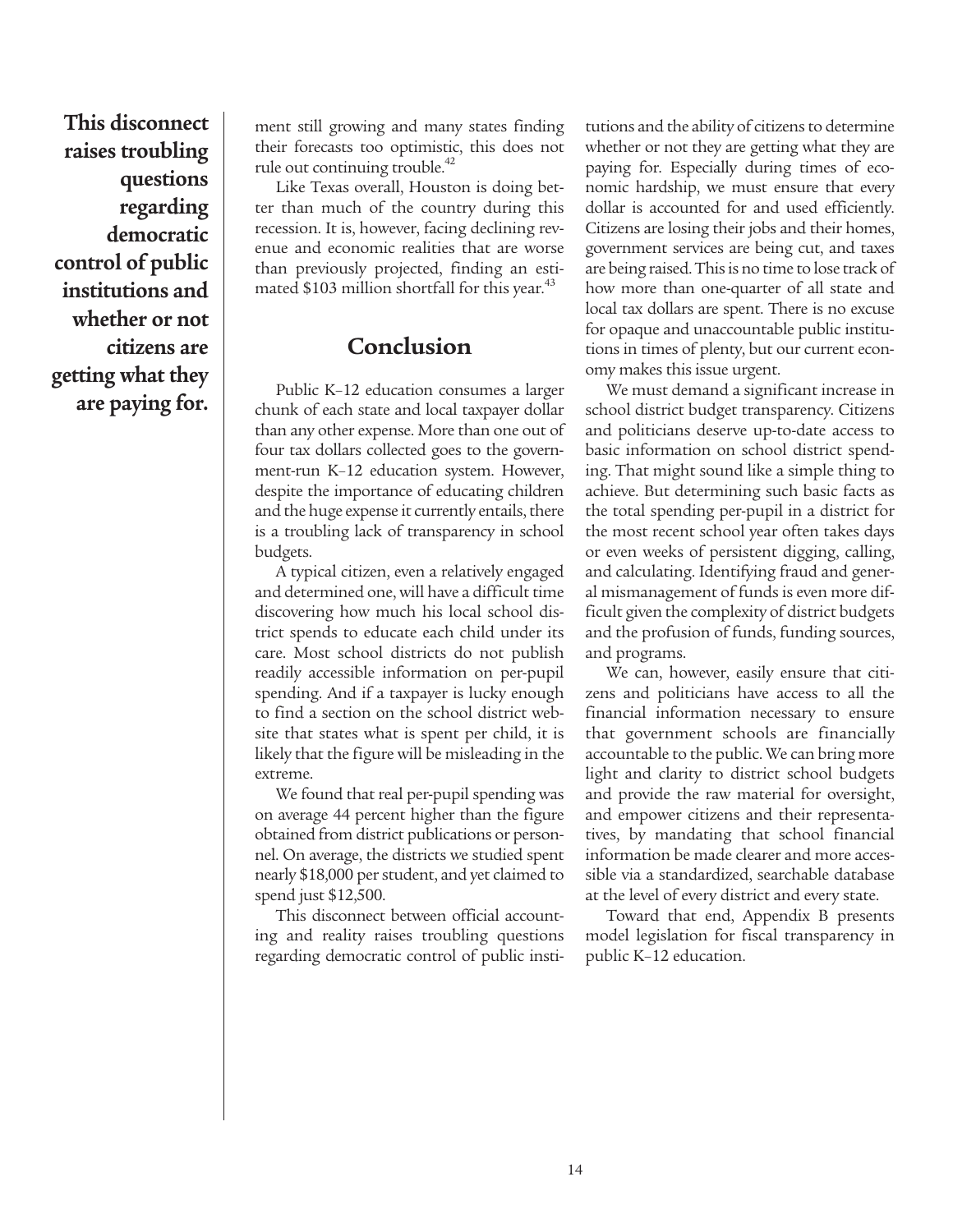**This disconnect raises troubling questions regarding democratic control of public institutions and whether or not citizens are getting what they are paying for.** 

ment still growing and many states finding their forecasts too optimistic, this does not rule out continuing trouble.<sup>42</sup>

Like Texas overall, Houston is doing better than much of the country during this recession. It is, however, facing declining revenue and economic realities that are worse than previously projected, finding an estimated  $$103$  million shortfall for this year.<sup>43</sup>

# **Conclusion**

Public K–12 education consumes a larger chunk of each state and local taxpayer dollar than any other expense. More than one out of four tax dollars collected goes to the government-run K–12 education system. However, despite the importance of educating children and the huge expense it currently entails, there is a troubling lack of transparency in school budgets.

A typical citizen, even a relatively engaged and determined one, will have a difficult time discovering how much his local school district spends to educate each child under its care. Most school districts do not publish readily accessible information on per-pupil spending. And if a taxpayer is lucky enough to find a section on the school district website that states what is spent per child, it is likely that the figure will be misleading in the extreme.

We found that real per-pupil spending was on average 44 percent higher than the figure obtained from district publications or personnel. On average, the districts we studied spent nearly \$18,000 per student, and yet claimed to spend just \$12,500.

This disconnect between official accounting and reality raises troubling questions regarding democratic control of public institutions and the ability of citizens to determine whether or not they are getting what they are paying for. Especially during times of economic hardship, we must ensure that every dollar is accounted for and used efficiently. Citizens are losing their jobs and their homes, government services are being cut, and taxes are being raised. This is no time to lose track of how more than one-quarter of all state and local tax dollars are spent. There is no excuse for opaque and unaccountable public institutions in times of plenty, but our current economy makes this issue urgent.

We must demand a significant increase in school district budget transparency. Citizens and politicians deserve up-to-date access to basic information on school district spending. That might sound like a simple thing to achieve. But determining such basic facts as the total spending per-pupil in a district for the most recent school year often takes days or even weeks of persistent digging, calling, and calculating. Identifying fraud and general mismanagement of funds is even more difficult given the complexity of district budgets and the profusion of funds, funding sources, and programs.

We can, however, easily ensure that citizens and politicians have access to all the financial information necessary to ensure that government schools are financially accountable to the public. We can bring more light and clarity to district school budgets and provide the raw material for oversight, and empower citizens and their representatives, by mandating that school financial information be made clearer and more accessible via a standardized, searchable database at the level of every district and every state.

Toward that end, Appendix B presents model legislation for fiscal transparency in public K–12 education.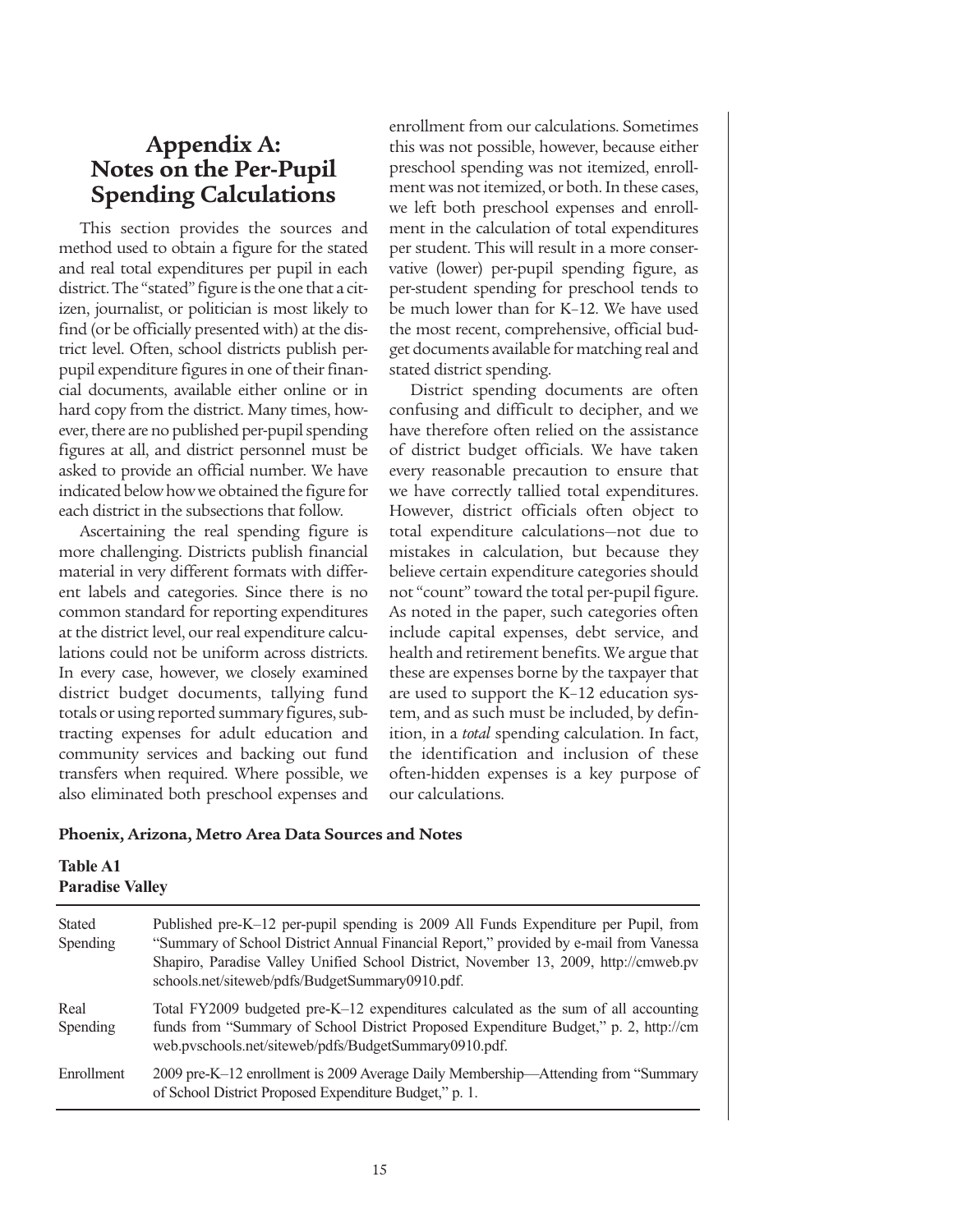# **Appendix A: Notes on the Per-Pupil Spending Calculations**

This section provides the sources and method used to obtain a figure for the stated and real total expenditures per pupil in each district. The "stated" figure is the one that a citizen, journalist, or politician is most likely to find (or be officially presented with) at the district level. Often, school districts publish perpupil expenditure figures in one of their financial documents, available either online or in hard copy from the district. Many times, however, there are no published per-pupil spending figures at all, and district personnel must be asked to provide an official number. We have indicated below how we obtained the figure for each district in the subsections that follow.

Ascertaining the real spending figure is more challenging. Districts publish financial material in very different formats with different labels and categories. Since there is no common standard for reporting expenditures at the district level, our real expenditure calculations could not be uniform across districts. In every case, however, we closely examined district budget documents, tallying fund totals or using reported summary figures, subtracting expenses for adult education and community services and backing out fund transfers when required. Where possible, we also eliminated both preschool expenses and

#### **Phoenix, Arizona, Metro Area Data Sources and Notes**

#### **Table A1 Paradise Valley**

| <b>Stated</b><br><b>Spending</b> | Published pre-K-12 per-pupil spending is 2009 All Funds Expenditure per Pupil, from<br>"Summary of School District Annual Financial Report," provided by e-mail from Vanessa<br>Shapiro, Paradise Valley Unified School District, November 13, 2009, http://cmweb.pv<br>schools.net/siteweb/pdfs/BudgetSummary0910.pdf. |
|----------------------------------|-------------------------------------------------------------------------------------------------------------------------------------------------------------------------------------------------------------------------------------------------------------------------------------------------------------------------|
| Real<br><b>Spending</b>          | Total FY2009 budgeted pre-K-12 expenditures calculated as the sum of all accounting<br>funds from "Summary of School District Proposed Expenditure Budget," p. 2, http://cm<br>web.pvschools.net/siteweb/pdfs/BudgetSummary0910.pdf.                                                                                    |
| Enrollment                       | 2009 pre-K-12 enrollment is 2009 Average Daily Membership—Attending from "Summary<br>of School District Proposed Expenditure Budget," p. 1.                                                                                                                                                                             |

enrollment from our calculations. Sometimes this was not possible, however, because either preschool spending was not itemized, enrollment was not itemized, or both. In these cases, we left both preschool expenses and enrollment in the calculation of total expenditures per student. This will result in a more conservative (lower) per-pupil spending figure, as per-student spending for preschool tends to be much lower than for K–12. We have used the most recent, comprehensive, official budget documents available for matching real and stated district spending.

District spending documents are often confusing and difficult to decipher, and we have therefore often relied on the assistance of district budget officials. We have taken every reasonable precaution to ensure that we have correctly tallied total expenditures. However, district officials often object to total expenditure calculations—not due to mistakes in calculation, but because they believe certain expenditure categories should not "count" toward the total per-pupil figure. As noted in the paper, such categories often include capital expenses, debt service, and health and retirement benefits. We argue that these are expenses borne by the taxpayer that are used to support the K–12 education system, and as such must be included, by definition, in a *total* spending calculation. In fact, the identification and inclusion of these often-hidden expenses is a key purpose of our calculations.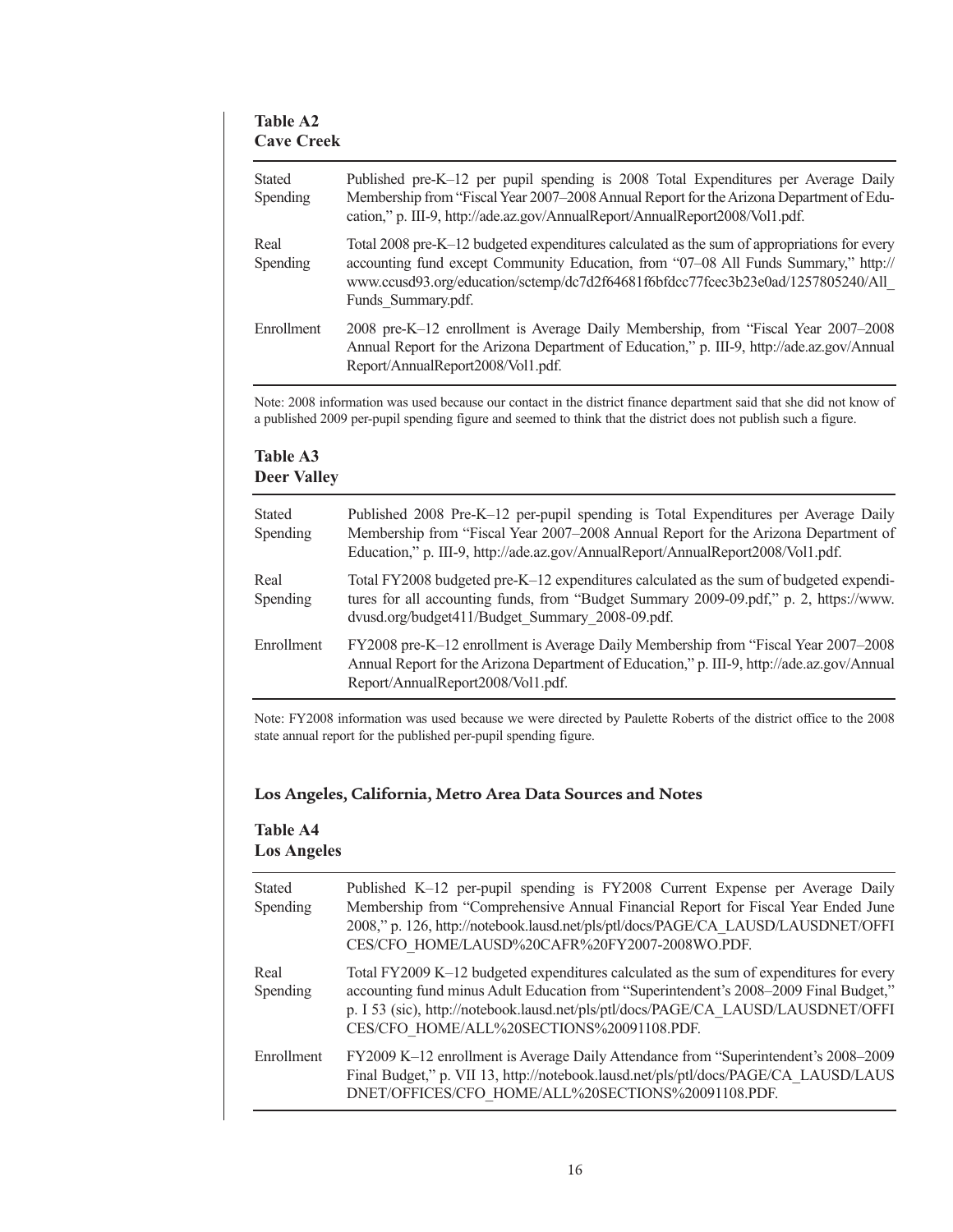# **Table A2 Cave Creek**

| <b>Stated</b><br>Spending             | Published pre-K-12 per pupil spending is 2008 Total Expenditures per Average Daily<br>Membership from "Fiscal Year 2007-2008 Annual Report for the Arizona Department of Edu-<br>cation," p. III-9, http://ade.az.gov/AnnualReport/AnnualReport2008/Vol1.pdf.                                |  |  |  |
|---------------------------------------|----------------------------------------------------------------------------------------------------------------------------------------------------------------------------------------------------------------------------------------------------------------------------------------------|--|--|--|
| Real<br>Spending                      | Total 2008 pre-K-12 budgeted expenditures calculated as the sum of appropriations for every<br>accounting fund except Community Education, from "07-08 All Funds Summary," http://<br>www.ccusd93.org/education/sctemp/dc7d2f64681f6bfdcc77fcec3b23e0ad/1257805240/All<br>Funds Summary.pdf. |  |  |  |
| Enrollment                            | 2008 pre-K-12 enrollment is Average Daily Membership, from "Fiscal Year 2007-2008<br>Annual Report for the Arizona Department of Education," p. III-9, http://ade.az.gov/Annual<br>Report/AnnualReport2008/Vol1.pdf.                                                                         |  |  |  |
|                                       | Note: 2008 information was used because our contact in the district finance department said that she did not know of<br>a published 2009 per-pupil spending figure and seemed to think that the district does not publish such a figure.                                                     |  |  |  |
| <b>Table A3</b><br><b>Deer Valley</b> |                                                                                                                                                                                                                                                                                              |  |  |  |
| <b>Stated</b><br>Spending             | Published 2008 Pre-K-12 per-pupil spending is Total Expenditures per Average Daily<br>Membership from "Fiscal Year 2007-2008 Annual Report for the Arizona Department of<br>Education," p. III-9, http://ade.az.gov/AnnualReport/AnnualReport2008/Vol1.pdf.                                  |  |  |  |
| Real<br>Spending                      | Total FY2008 budgeted pre-K-12 expenditures calculated as the sum of budgeted expendi-<br>tures for all accounting funds, from "Budget Summary 2009-09.pdf," p. 2, https://www.<br>dvusd.org/budget411/Budget Summary 2008-09.pdf.                                                           |  |  |  |
| Enrollment                            | FY2008 pre-K-12 enrollment is Average Daily Membership from "Fiscal Year 2007-2008<br>Annual Report for the Arizona Department of Education," p. III-9, http://ade.az.gov/Annual<br>Report/AnnualReport2008/Vol1.pdf.                                                                        |  |  |  |

Note: FY2008 information was used because we were directed by Paulette Roberts of the district office to the 2008 state annual report for the published per-pupil spending figure.

#### **Los Angeles, California, Metro Area Data Sources and Notes**

# **Table A4**

# **Los Angeles**

| <b>Stated</b><br>Spending | Published K-12 per-pupil spending is FY2008 Current Expense per Average Daily<br>Membership from "Comprehensive Annual Financial Report for Fiscal Year Ended June<br>2008," p. 126, http://notebook.lausd.net/pls/ptl/docs/PAGE/CA_LAUSD/LAUSDNET/OFFI<br>CES/CFO HOME/LAUSD%20CAFR%20FY2007-2008WO.PDF.          |
|---------------------------|--------------------------------------------------------------------------------------------------------------------------------------------------------------------------------------------------------------------------------------------------------------------------------------------------------------------|
| Real<br>Spending          | Total FY2009 K-12 budgeted expenditures calculated as the sum of expenditures for every<br>accounting fund minus Adult Education from "Superintendent's 2008–2009 Final Budget,"<br>p. I 53 (sic), http://notebook.lausd.net/pls/ptl/docs/PAGE/CA_LAUSD/LAUSDNET/OFFI<br>CES/CFO HOME/ALL%20SECTIONS%20091108.PDF. |
| Enrollment                | FY2009 K-12 enrollment is Average Daily Attendance from "Superintendent's 2008-2009<br>Final Budget," p. VII 13, http://notebook.lausd.net/pls/ptl/docs/PAGE/CA_LAUSD/LAUS<br>DNET/OFFICES/CFO HOME/ALL%20SECTIONS%20091108.PDF.                                                                                   |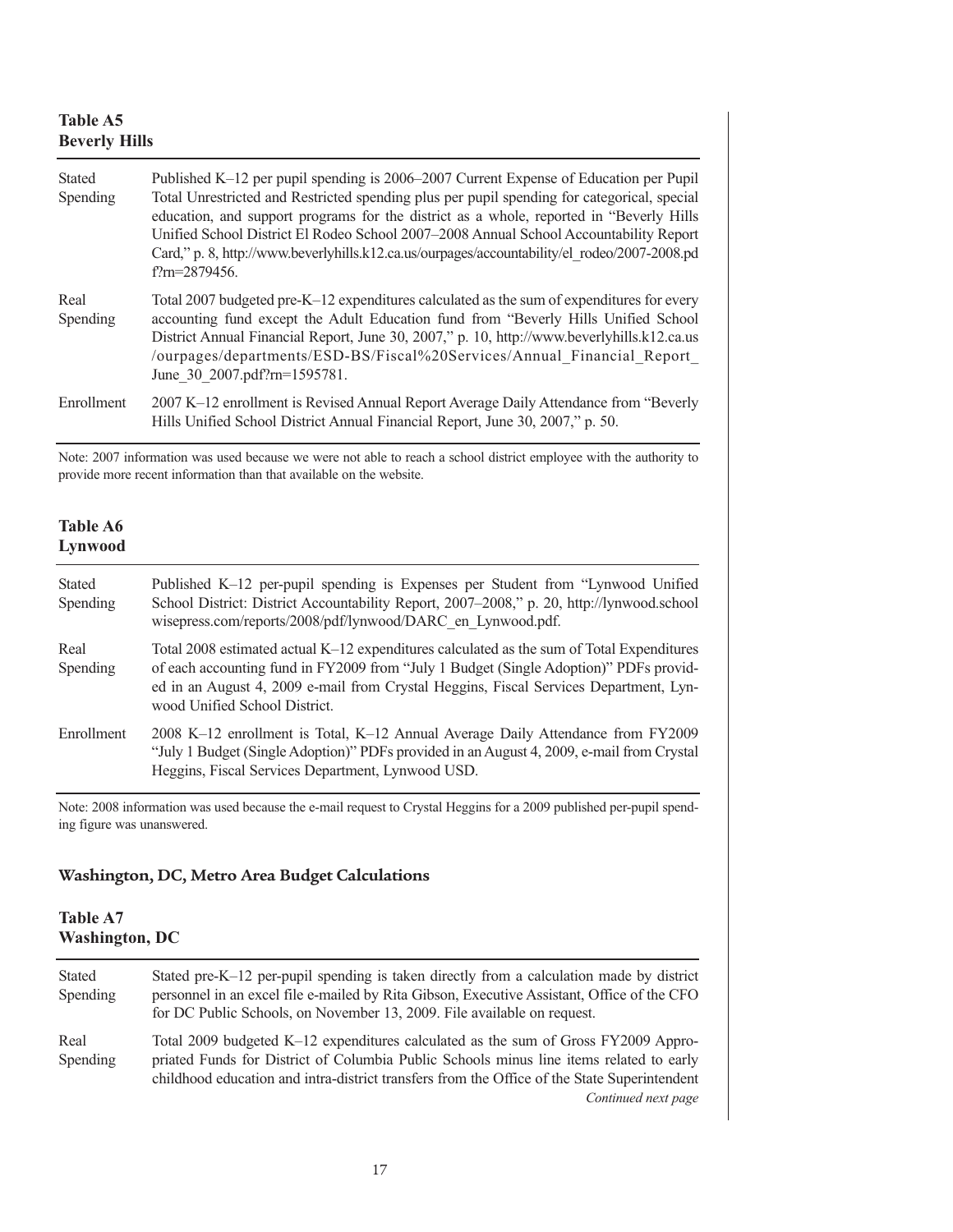# **Table A5 Beverly Hills**

| <b>Stated</b><br>Spending | Published K-12 per pupil spending is 2006-2007 Current Expense of Education per Pupil<br>Total Unrestricted and Restricted spending plus per pupil spending for categorical, special<br>education, and support programs for the district as a whole, reported in "Beverly Hills"<br>Unified School District El Rodeo School 2007-2008 Annual School Accountability Report<br>Card," p. 8, http://www.beverlyhills.k12.ca.us/ourpages/accountability/el rodeo/2007-2008.pd<br>$f$ ?rn=2879456. |
|---------------------------|-----------------------------------------------------------------------------------------------------------------------------------------------------------------------------------------------------------------------------------------------------------------------------------------------------------------------------------------------------------------------------------------------------------------------------------------------------------------------------------------------|
| Real<br>Spending          | Total 2007 budgeted pre-K-12 expenditures calculated as the sum of expenditures for every<br>accounting fund except the Adult Education fund from "Beverly Hills Unified School<br>District Annual Financial Report, June 30, 2007," p. 10, http://www.beverlyhills.k12.ca.us<br>/ourpages/departments/ESD-BS/Fiscal%20Services/Annual Financial Report<br>June 30 2007.pdf?rn=1595781.                                                                                                       |
| Enrollment                | 2007 K-12 enrollment is Revised Annual Report Average Daily Attendance from "Beverly<br>Hills Unified School District Annual Financial Report, June 30, 2007," p. 50.                                                                                                                                                                                                                                                                                                                         |

Note: 2007 information was used because we were not able to reach a school district employee with the authority to provide more recent information than that available on the website.

### **Table A6 Lynwood**

| <b>Stated</b><br>Spending | Published K-12 per-pupil spending is Expenses per Student from "Lynwood Unified"<br>School District: District Accountability Report, 2007-2008," p. 20, http://lynwood.school<br>wisepress.com/reports/2008/pdf/lynwood/DARC en Lynwood.pdf.                                                                 |
|---------------------------|--------------------------------------------------------------------------------------------------------------------------------------------------------------------------------------------------------------------------------------------------------------------------------------------------------------|
| Real<br>Spending          | Total 2008 estimated actual K-12 expenditures calculated as the sum of Total Expenditures<br>of each accounting fund in FY2009 from "July 1 Budget (Single Adoption)" PDFs provid-<br>ed in an August 4, 2009 e-mail from Crystal Heggins, Fiscal Services Department, Lyn-<br>wood Unified School District. |
| Enrollment                | 2008 K-12 enrollment is Total, K-12 Annual Average Daily Attendance from FY2009<br>"July 1 Budget (Single Adoption)" PDFs provided in an August 4, 2009, e-mail from Crystal<br>Heggins, Fiscal Services Department, Lynwood USD.                                                                            |

Note: 2008 information was used because the e-mail request to Crystal Heggins for a 2009 published per-pupil spending figure was unanswered.

### **Washington, DC, Metro Area Budget Calculations**

# **Table A7 Washington, DC**

| <b>Stated</b><br>Spending | Stated pre-K-12 per-pupil spending is taken directly from a calculation made by district<br>personnel in an excel file e-mailed by Rita Gibson, Executive Assistant, Office of the CFO<br>for DC Public Schools, on November 13, 2009. File available on request.                                    |
|---------------------------|------------------------------------------------------------------------------------------------------------------------------------------------------------------------------------------------------------------------------------------------------------------------------------------------------|
| Real<br>Spending          | Total 2009 budgeted K-12 expenditures calculated as the sum of Gross FY2009 Appro-<br>priated Funds for District of Columbia Public Schools minus line items related to early<br>childhood education and intra-district transfers from the Office of the State Superintendent<br>Continued next page |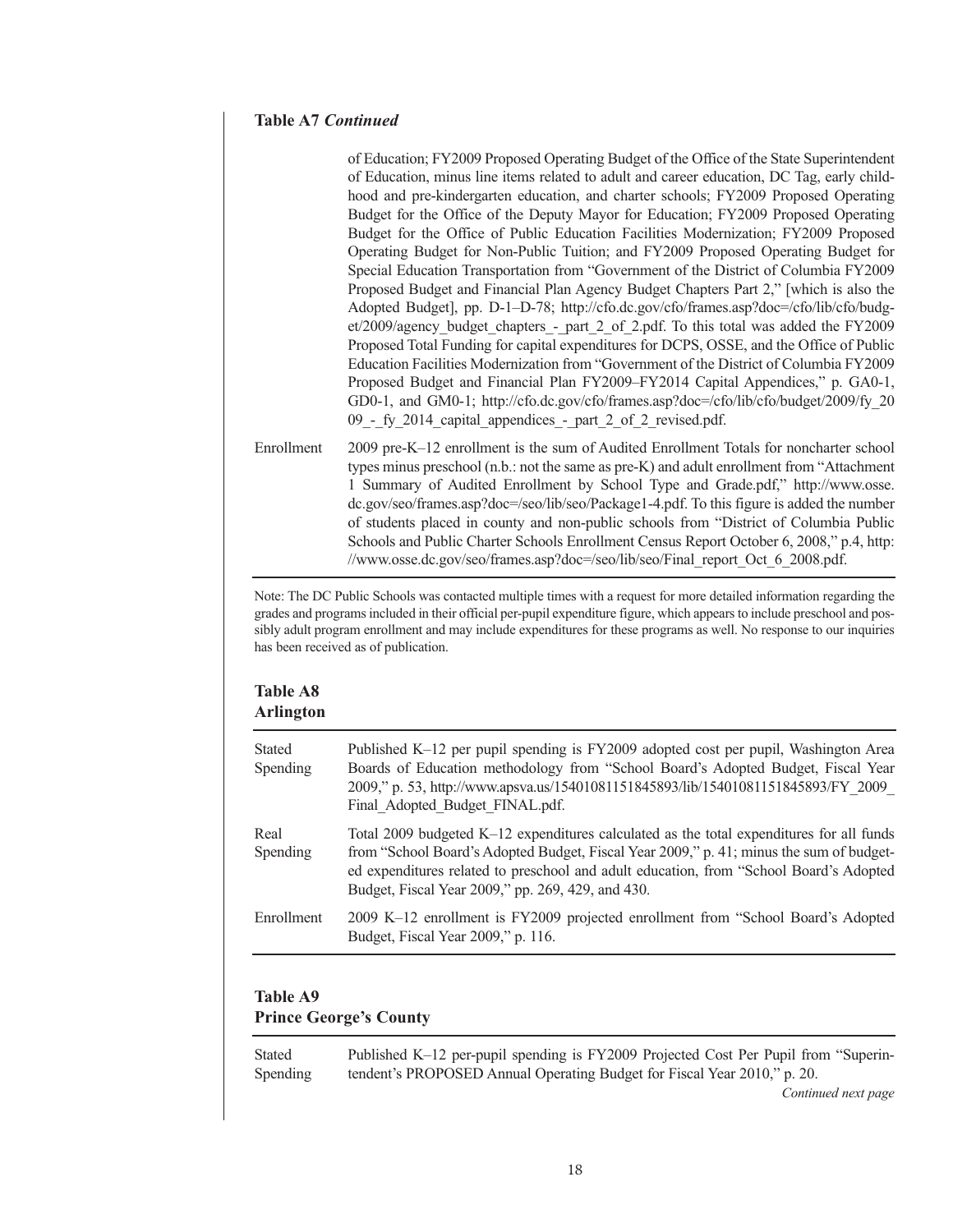### **Table A7** *Continued*

|            | of Education; FY2009 Proposed Operating Budget of the Office of the State Superintendent<br>of Education, minus line items related to adult and career education, DC Tag, early child-<br>hood and pre-kindergarten education, and charter schools; FY2009 Proposed Operating<br>Budget for the Office of the Deputy Mayor for Education; FY2009 Proposed Operating<br>Budget for the Office of Public Education Facilities Modernization; FY2009 Proposed<br>Operating Budget for Non-Public Tuition; and FY2009 Proposed Operating Budget for<br>Special Education Transportation from "Government of the District of Columbia FY2009<br>Proposed Budget and Financial Plan Agency Budget Chapters Part 2," [which is also the<br>Adopted Budget], pp. D-1-D-78; http://cfo.dc.gov/cfo/frames.asp?doc=/cfo/lib/cfo/budg-<br>et/2009/agency budget chapters - part 2 of 2.pdf. To this total was added the FY2009<br>Proposed Total Funding for capital expenditures for DCPS, OSSE, and the Office of Public<br>Education Facilities Modernization from "Government of the District of Columbia FY2009<br>Proposed Budget and Financial Plan FY2009–FY2014 Capital Appendices," p. GA0-1,<br>GD0-1, and GM0-1; http://cfo.dc.gov/cfo/frames.asp?doc=/cfo/lib/cfo/budget/2009/fy 20<br>09 - fy 2014 capital appendices - part 2 of 2 revised.pdf. |
|------------|----------------------------------------------------------------------------------------------------------------------------------------------------------------------------------------------------------------------------------------------------------------------------------------------------------------------------------------------------------------------------------------------------------------------------------------------------------------------------------------------------------------------------------------------------------------------------------------------------------------------------------------------------------------------------------------------------------------------------------------------------------------------------------------------------------------------------------------------------------------------------------------------------------------------------------------------------------------------------------------------------------------------------------------------------------------------------------------------------------------------------------------------------------------------------------------------------------------------------------------------------------------------------------------------------------------------------------------------------|
| Enrollment | 2009 pre-K-12 enrollment is the sum of Audited Enrollment Totals for noncharter school<br>types minus preschool (n.b.: not the same as pre-K) and adult enrollment from "Attachment"<br>1 Summary of Audited Enrollment by School Type and Grade.pdf," http://www.osse.<br>dc.gov/seo/frames.asp?doc=/seo/lib/seo/Package1-4.pdf. To this figure is added the number<br>of students placed in county and non-public schools from "District of Columbia Public<br>Schools and Public Charter Schools Enrollment Census Report October 6, 2008," p.4, http:<br>//www.osse.dc.gov/seo/frames.asp?doc=/seo/lib/seo/Final report Oct 6 2008.pdf.                                                                                                                                                                                                                                                                                                                                                                                                                                                                                                                                                                                                                                                                                                        |

Note: The DC Public Schools was contacted multiple times with a request for more detailed information regarding the grades and programs included in their official per-pupil expenditure figure, which appears to include preschool and possibly adult program enrollment and may include expenditures for these programs as well. No response to our inquiries has been received as of publication.

#### **Table A8 Arlington**

| <b>Stated</b><br>Spending | Published K-12 per pupil spending is FY2009 adopted cost per pupil, Washington Area<br>Boards of Education methodology from "School Board's Adopted Budget, Fiscal Year<br>2009," p. 53, http://www.apsva.us/15401081151845893/lib/15401081151845893/FY 2009<br>Final Adopted Budget FINAL.pdf.                                    |
|---------------------------|------------------------------------------------------------------------------------------------------------------------------------------------------------------------------------------------------------------------------------------------------------------------------------------------------------------------------------|
| Real<br>Spending          | Total 2009 budgeted K-12 expenditures calculated as the total expenditures for all funds<br>from "School Board's Adopted Budget, Fiscal Year 2009," p. 41; minus the sum of budget-<br>ed expenditures related to preschool and adult education, from "School Board's Adopted<br>Budget, Fiscal Year 2009," pp. 269, 429, and 430. |
| Enrollment                | 2009 K-12 enrollment is FY2009 projected enrollment from "School Board's Adopted"<br>Budget, Fiscal Year 2009," p. 116.                                                                                                                                                                                                            |

# **Table A9 Prince George's County**

| Stated   | Published K-12 per-pupil spending is FY2009 Projected Cost Per Pupil from "Superin- |
|----------|-------------------------------------------------------------------------------------|
| Spending | tendent's PROPOSED Annual Operating Budget for Fiscal Year 2010," p. 20.            |
|          | Continued nont noon                                                                 |

*Continued next page*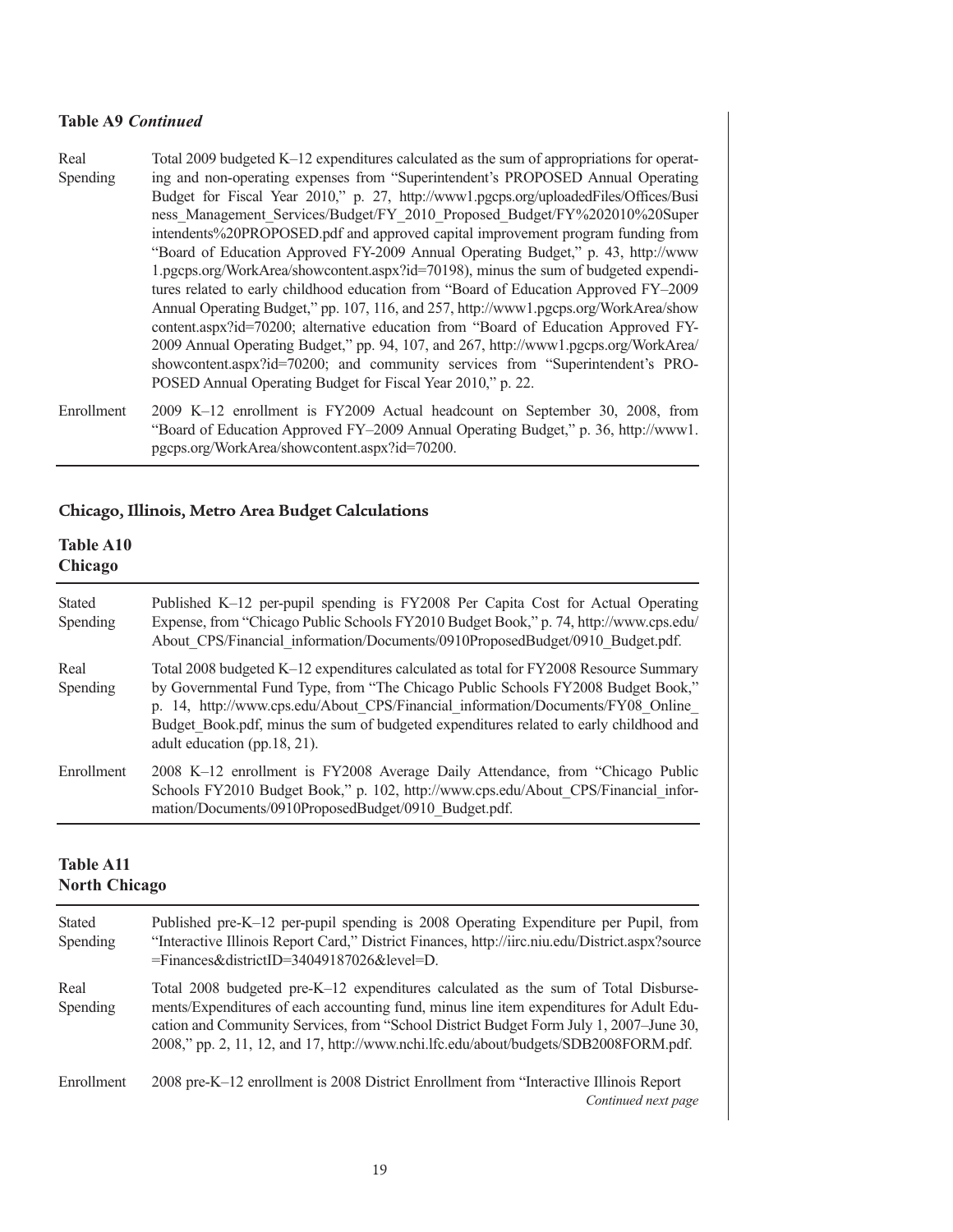# **Table A9** *Continued*

| Real     | Total 2009 budgeted K-12 expenditures calculated as the sum of appropriations for operat- |
|----------|-------------------------------------------------------------------------------------------|
| Spending | ing and non-operating expenses from "Superintendent's PROPOSED Annual Operating           |
|          | Budget for Fiscal Year 2010," p. 27, http://www1.pgcps.org/uploadedFiles/Offices/Busi     |
|          | ness Management Services/Budget/FY 2010 Proposed Budget/FY%202010%20Super                 |
|          | intendents%20PROPOSED.pdf and approved capital improvement program funding from           |
|          | "Board of Education Approved FY-2009 Annual Operating Budget," p. 43, http://www.         |
|          | 1.pgcps.org/WorkArea/showcontent.aspx?id=70198), minus the sum of budgeted expendi-       |
|          | tures related to early childhood education from "Board of Education Approved FY-2009      |
|          | Annual Operating Budget," pp. 107, 116, and 257, http://www1.pgcps.org/WorkArea/show      |
|          | content.aspx?id=70200; alternative education from "Board of Education Approved FY-        |
|          | 2009 Annual Operating Budget," pp. 94, 107, and 267, http://www1.pgcps.org/WorkArea/      |
|          | showcontent.aspx?id=70200; and community services from "Superintendent's PRO-             |
|          | POSED Annual Operating Budget for Fiscal Year 2010," p. 22.                               |
|          |                                                                                           |

Enrollment 2009 K–12 enrollment is FY2009 Actual headcount on September 30, 2008, from "Board of Education Approved FY–2009 Annual Operating Budget," p. 36, http://www1. pgcps.org/WorkArea/showcontent.aspx?id=70200.

#### **Chicago, Illinois, Metro Area Budget Calculations**

# **Table A10 Chicago**

| <b>Stated</b><br>Spending | Published K-12 per-pupil spending is FY2008 Per Capita Cost for Actual Operating<br>Expense, from "Chicago Public Schools FY2010 Budget Book," p. 74, http://www.cps.edu/<br>About CPS/Financial information/Documents/0910ProposedBudget/0910 Budget.pdf.                                                                                                                              |
|---------------------------|-----------------------------------------------------------------------------------------------------------------------------------------------------------------------------------------------------------------------------------------------------------------------------------------------------------------------------------------------------------------------------------------|
| Real<br>Spending          | Total 2008 budgeted K-12 expenditures calculated as total for FY2008 Resource Summary<br>by Governmental Fund Type, from "The Chicago Public Schools FY2008 Budget Book,"<br>p. 14, http://www.cps.edu/About CPS/Financial information/Documents/FY08 Online<br>Budget Book.pdf, minus the sum of budgeted expenditures related to early childhood and<br>adult education (pp. 18, 21). |
| Enrollment                | 2008 K-12 enrollment is FY2008 Average Daily Attendance, from "Chicago Public<br>Schools FY2010 Budget Book," p. 102, http://www.cps.edu/About CPS/Financial infor-<br>mation/Documents/0910ProposedBudget/0910 Budget.pdf.                                                                                                                                                             |

# **Table A11 North Chicago**

| <b>Stated</b><br>Spending | Published pre-K-12 per-pupil spending is 2008 Operating Expenditure per Pupil, from<br>"Interactive Illinois Report Card," District Finances, http://iirc.niu.edu/District.aspx?source<br>=Finances&districtID=34049187026&level=D.                                                                                                                             |
|---------------------------|-----------------------------------------------------------------------------------------------------------------------------------------------------------------------------------------------------------------------------------------------------------------------------------------------------------------------------------------------------------------|
| Real<br>Spending          | Total 2008 budgeted pre-K-12 expenditures calculated as the sum of Total Disburse-<br>ments/Expenditures of each accounting fund, minus line item expenditures for Adult Edu-<br>cation and Community Services, from "School District Budget Form July 1, 2007–June 30,<br>2008," pp. 2, 11, 12, and 17, http://www.nchi.lfc.edu/about/budgets/SDB2008FORM.pdf. |
| Enrollment                | 2008 pre-K-12 enrollment is 2008 District Enrollment from "Interactive Illinois Report<br>Continued next page                                                                                                                                                                                                                                                   |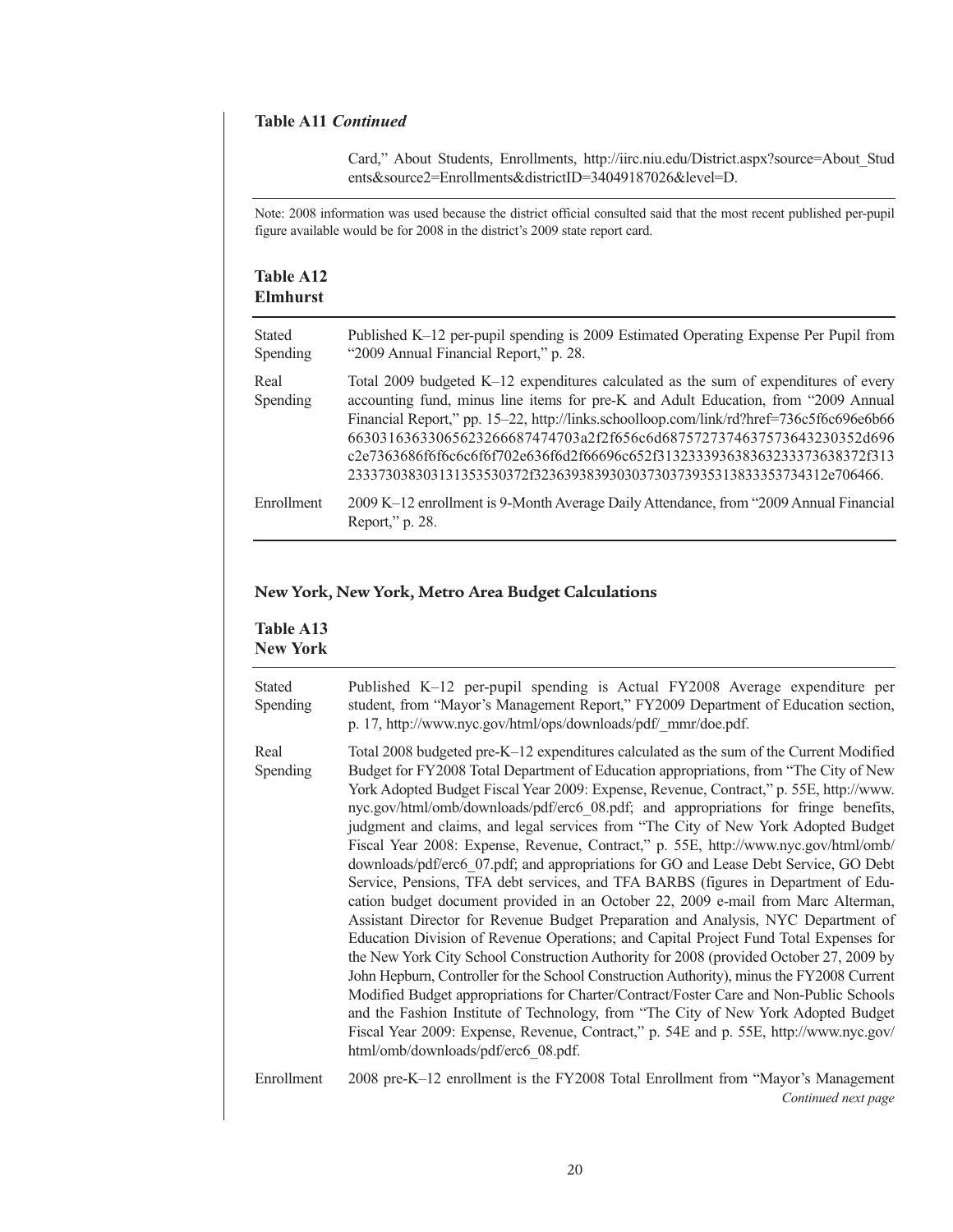# **Table A11** *Continued*

Card," About Students, Enrollments, http://iirc.niu.edu/District.aspx?source=About\_Stud ents&source2=Enrollments&districtID=34049187026&level=D.

Note: 2008 information was used because the district official consulted said that the most recent published per-pupil figure available would be for 2008 in the district's 2009 state report card.

# **Table A12 Elmhurst**

| Stated<br>Spending | Published K-12 per-pupil spending is 2009 Estimated Operating Expense Per Pupil from<br>"2009 Annual Financial Report," p. 28.                                                                                                                                                                                                                                                                                                                                                                           |
|--------------------|----------------------------------------------------------------------------------------------------------------------------------------------------------------------------------------------------------------------------------------------------------------------------------------------------------------------------------------------------------------------------------------------------------------------------------------------------------------------------------------------------------|
| Real<br>Spending   | Total 2009 budgeted K-12 expenditures calculated as the sum of expenditures of every<br>accounting fund, minus line items for pre-K and Adult Education, from "2009 Annual<br>Financial Report," pp. 15–22, http://links.schoolloop.com/link/rd?href=736c5f6c696e6b66<br>66303163633065623266687474703a2f2f656c6d6875727374637573643230352d696<br>c2e7363686f6f6c6c6f6f702e636f6d2f66696c652f313233393638363233373638372f313<br>233373038303131353530372f323639383930303730373935313833353734312e706466. |
| Enrollment         | 2009 K-12 enrollment is 9-Month Average Daily Attendance, from "2009 Annual Financial<br>Report," p. 28.                                                                                                                                                                                                                                                                                                                                                                                                 |

### **New York, New York, Metro Area Budget Calculations**

#### **Table A13 New York**

| <b>Stated</b><br>Spending | Published K-12 per-pupil spending is Actual FY2008 Average expenditure per<br>student, from "Mayor's Management Report," FY2009 Department of Education section,<br>p. 17, http://www.nyc.gov/html/ops/downloads/pdf/ mmr/doe.pdf.                                                                                                                                                                                                                                                                                                                                                                                                                                                                                                                                                                                                                                                                                                                                                                                                                                                                                                                                                                                                                                                                                                                                                                                                                                                                    |
|---------------------------|-------------------------------------------------------------------------------------------------------------------------------------------------------------------------------------------------------------------------------------------------------------------------------------------------------------------------------------------------------------------------------------------------------------------------------------------------------------------------------------------------------------------------------------------------------------------------------------------------------------------------------------------------------------------------------------------------------------------------------------------------------------------------------------------------------------------------------------------------------------------------------------------------------------------------------------------------------------------------------------------------------------------------------------------------------------------------------------------------------------------------------------------------------------------------------------------------------------------------------------------------------------------------------------------------------------------------------------------------------------------------------------------------------------------------------------------------------------------------------------------------------|
| Real<br>Spending          | Total 2008 budgeted pre-K-12 expenditures calculated as the sum of the Current Modified<br>Budget for FY2008 Total Department of Education appropriations, from "The City of New<br>York Adopted Budget Fiscal Year 2009: Expense, Revenue, Contract," p. 55E, http://www.<br>nyc.gov/html/omb/downloads/pdf/erc6 08.pdf; and appropriations for fringe benefits,<br>judgment and claims, and legal services from "The City of New York Adopted Budget<br>Fiscal Year 2008: Expense, Revenue, Contract," p. 55E, http://www.nyc.gov/html/omb/<br>downloads/pdf/erc6 07.pdf; and appropriations for GO and Lease Debt Service, GO Debt<br>Service, Pensions, TFA debt services, and TFA BARBS (figures in Department of Edu-<br>cation budget document provided in an October 22, 2009 e-mail from Marc Alterman,<br>Assistant Director for Revenue Budget Preparation and Analysis, NYC Department of<br>Education Division of Revenue Operations; and Capital Project Fund Total Expenses for<br>the New York City School Construction Authority for 2008 (provided October 27, 2009 by<br>John Hepburn, Controller for the School Construction Authority), minus the FY2008 Current<br>Modified Budget appropriations for Charter/Contract/Foster Care and Non-Public Schools<br>and the Fashion Institute of Technology, from "The City of New York Adopted Budget<br>Fiscal Year 2009: Expense, Revenue, Contract," p. 54E and p. 55E, http://www.nyc.gov/<br>html/omb/downloads/pdf/erc6_08.pdf. |
| Enrollment                | 2008 pre-K-12 enrollment is the FY2008 Total Enrollment from "Mayor's Management<br>Continued next page                                                                                                                                                                                                                                                                                                                                                                                                                                                                                                                                                                                                                                                                                                                                                                                                                                                                                                                                                                                                                                                                                                                                                                                                                                                                                                                                                                                               |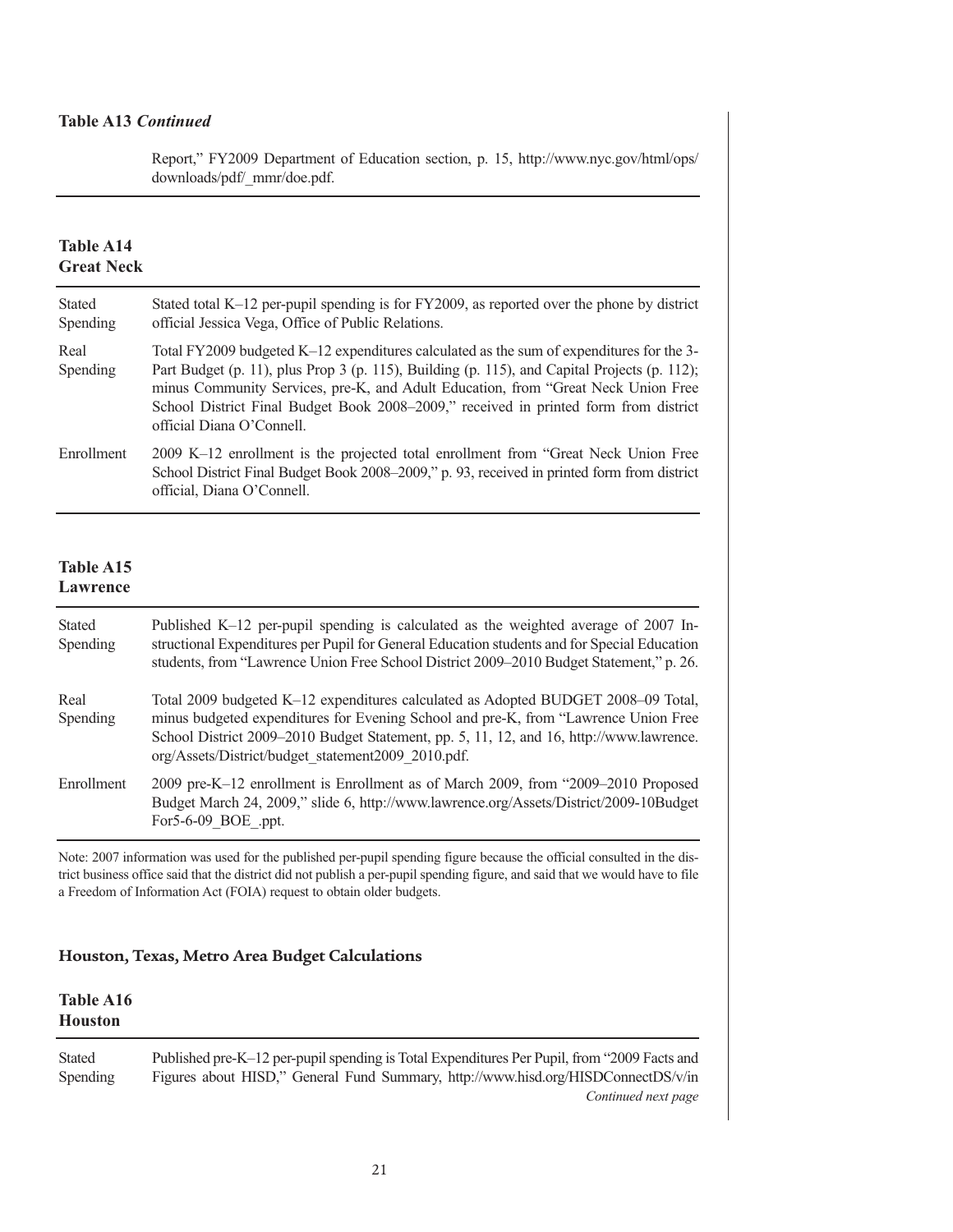# **Table A13** *Continued*

Report," FY2009 Department of Education section, p. 15, http://www.nyc.gov/html/ops/ downloads/pdf/\_mmr/doe.pdf.

| Table A14<br><b>Great Neck</b> |                                                                                                                                                                                                                                                                                                                                                                                                    |
|--------------------------------|----------------------------------------------------------------------------------------------------------------------------------------------------------------------------------------------------------------------------------------------------------------------------------------------------------------------------------------------------------------------------------------------------|
| <b>Stated</b><br>Spending      | Stated total K-12 per-pupil spending is for FY2009, as reported over the phone by district<br>official Jessica Vega, Office of Public Relations.                                                                                                                                                                                                                                                   |
| Real<br>Spending               | Total FY2009 budgeted K-12 expenditures calculated as the sum of expenditures for the 3-<br>Part Budget (p. 11), plus Prop 3 (p. 115), Building (p. 115), and Capital Projects (p. 112);<br>minus Community Services, pre-K, and Adult Education, from "Great Neck Union Free<br>School District Final Budget Book 2008–2009," received in printed form from district<br>official Diana O'Connell. |
| Enrollment                     | 2009 K-12 enrollment is the projected total enrollment from "Great Neck Union Free<br>School District Final Budget Book 2008–2009," p. 93, received in printed form from district<br>official, Diana O'Connell.                                                                                                                                                                                    |

#### **Table A15 Lawrence**

| <b>Stated</b><br>Spending | Published K-12 per-pupil spending is calculated as the weighted average of 2007 In-<br>structional Expenditures per Pupil for General Education students and for Special Education<br>students, from "Lawrence Union Free School District 2009–2010 Budget Statement," p. 26.                                             |
|---------------------------|---------------------------------------------------------------------------------------------------------------------------------------------------------------------------------------------------------------------------------------------------------------------------------------------------------------------------|
| Real<br>Spending          | Total 2009 budgeted K-12 expenditures calculated as Adopted BUDGET 2008-09 Total,<br>minus budgeted expenditures for Evening School and pre-K, from "Lawrence Union Free<br>School District 2009–2010 Budget Statement, pp. 5, 11, 12, and 16, http://www.lawrence.<br>org/Assets/District/budget statement2009 2010.pdf. |
| Enrollment                | 2009 pre-K-12 enrollment is Enrollment as of March 2009, from "2009-2010 Proposed"<br>Budget March 24, 2009," slide 6, http://www.lawrence.org/Assets/District/2009-10Budget<br>For 5-6-09 BOE .ppt.                                                                                                                      |

Note: 2007 information was used for the published per-pupil spending figure because the official consulted in the district business office said that the district did not publish a per-pupil spending figure, and said that we would have to file a Freedom of Information Act (FOIA) request to obtain older budgets.

#### **Houston, Texas, Metro Area Budget Calculations**

| Table A16                                          |                                                                                                                                                               |
|----------------------------------------------------|---------------------------------------------------------------------------------------------------------------------------------------------------------------|
| Houston                                            |                                                                                                                                                               |
| $\Omega$ $\sim$ $\sim$ $\sim$ $\sim$ $\sim$ $\sim$ | $\mathbf{D}$ and $\mathbf{D}$ and $\mathbf{D}$ and $\mathbf{D}$ are solvent in the set of $\mathbf{D}$ and $\mathbf{D}$ are solved in the set of $\mathbf{D}$ |

Stated Published pre-K–12 per-pupil spending is Total Expenditures Per Pupil, from "2009 Facts and Spending Figures about HISD," General Fund Summary, http://www.hisd.org/HISDConnectDS/v/in *Continued next page*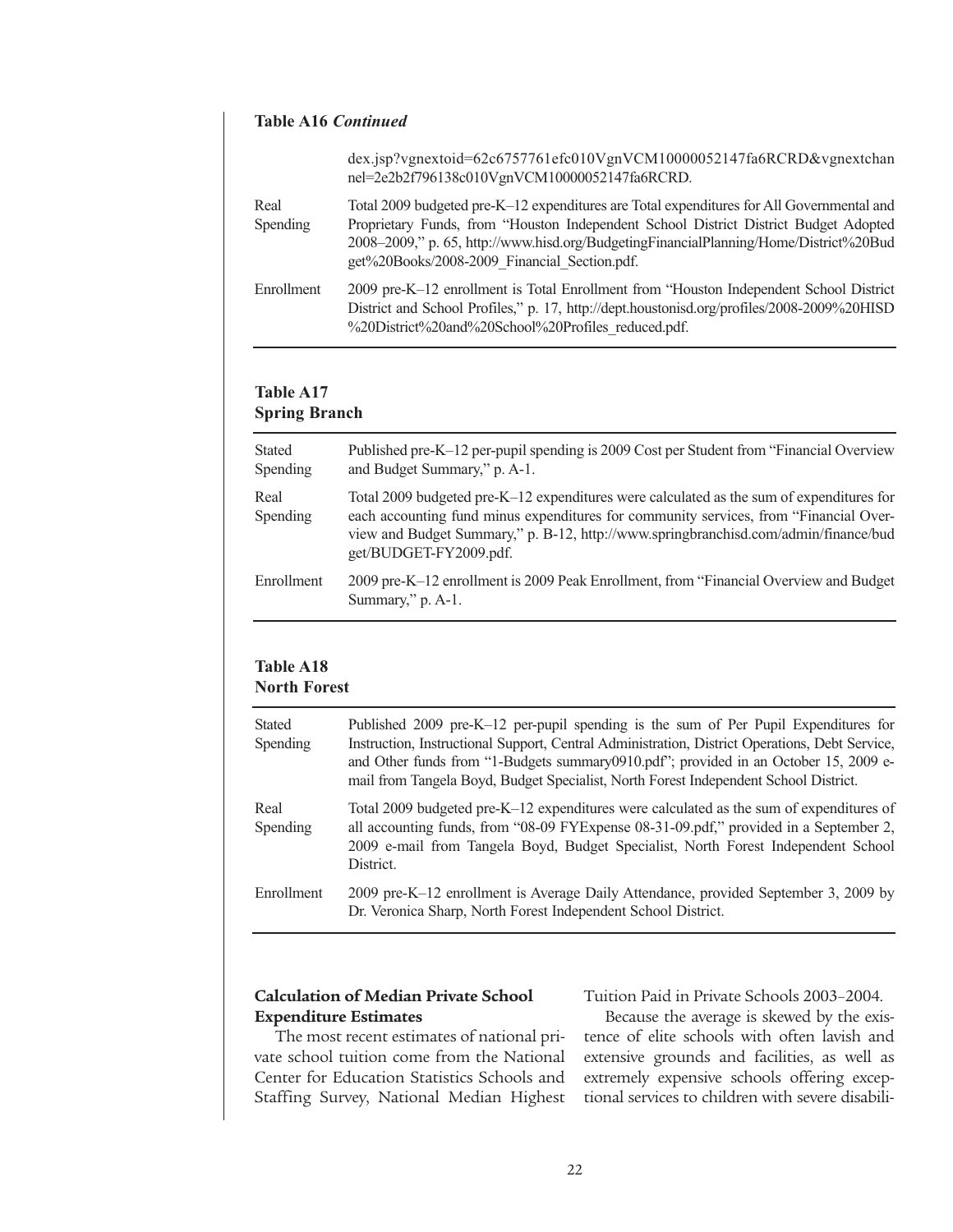# **Table A16** *Continued*

|                  | dex.jsp?vgnextoid=62c6757761efc010VgnVCM10000052147fa6RCRD&vgnextchan<br>nel=2e2b2f796138c010VgnVCM10000052147fa6RCRD.                                                                                                                                                                                                     |
|------------------|----------------------------------------------------------------------------------------------------------------------------------------------------------------------------------------------------------------------------------------------------------------------------------------------------------------------------|
| Real<br>Spending | Total 2009 budgeted pre-K-12 expenditures are Total expenditures for All Governmental and<br>Proprietary Funds, from "Houston Independent School District District Budget Adopted<br>2008–2009," p. 65, http://www.hisd.org/BudgetingFinancialPlanning/Home/District%20Bud<br>get%20Books/2008-2009 Financial Section.pdf. |
| Enrollment       | 2009 pre-K-12 enrollment is Total Enrollment from "Houston Independent School District<br>District and School Profiles," p. 17, http://dept.houstonisd.org/profiles/2008-2009%20HISD<br>%20District%20and%20School%20Profiles reduced.pdf.                                                                                 |

### **Table A17 Spring Branch**

| Stated<br>Spending | Published pre-K-12 per-pupil spending is 2009 Cost per Student from "Financial Overview"<br>and Budget Summary," p. A-1.                                                                                                                                                                           |
|--------------------|----------------------------------------------------------------------------------------------------------------------------------------------------------------------------------------------------------------------------------------------------------------------------------------------------|
| Real<br>Spending   | Total 2009 budgeted pre-K-12 expenditures were calculated as the sum of expenditures for<br>each accounting fund minus expenditures for community services, from "Financial Over-<br>view and Budget Summary," p. B-12, http://www.springbranchisd.com/admin/finance/bud<br>get/BUDGET-FY2009.pdf. |
| Enrollment         | 2009 pre-K–12 enrollment is 2009 Peak Enrollment, from "Financial Overview and Budget"<br>Summary," p. A-1.                                                                                                                                                                                        |

# **Table A18 North Forest**

| <b>Stated</b><br><b>Spending</b> | Published 2009 pre-K-12 per-pupil spending is the sum of Per Pupil Expenditures for<br>Instruction, Instructional Support, Central Administration, District Operations, Debt Service,<br>and Other funds from "1-Budgets summary0910.pdf"; provided in an October 15, 2009 e-<br>mail from Tangela Boyd, Budget Specialist, North Forest Independent School District. |
|----------------------------------|-----------------------------------------------------------------------------------------------------------------------------------------------------------------------------------------------------------------------------------------------------------------------------------------------------------------------------------------------------------------------|
| Real<br>Spending                 | Total 2009 budgeted pre-K-12 expenditures were calculated as the sum of expenditures of<br>all accounting funds, from "08-09 FYExpense 08-31-09.pdf," provided in a September 2,<br>2009 e-mail from Tangela Boyd, Budget Specialist, North Forest Independent School<br>District.                                                                                    |
| Enrollment                       | 2009 pre-K-12 enrollment is Average Daily Attendance, provided September 3, 2009 by<br>Dr. Veronica Sharp, North Forest Independent School District.                                                                                                                                                                                                                  |

# **Calculation of Median Private School Expenditure Estimates**

The most recent estimates of national private school tuition come from the National Center for Education Statistics Schools and Staffing Survey, National Median Highest Tuition Paid in Private Schools 2003–2004.

Because the average is skewed by the existence of elite schools with often lavish and extensive grounds and facilities, as well as extremely expensive schools offering exceptional services to children with severe disabili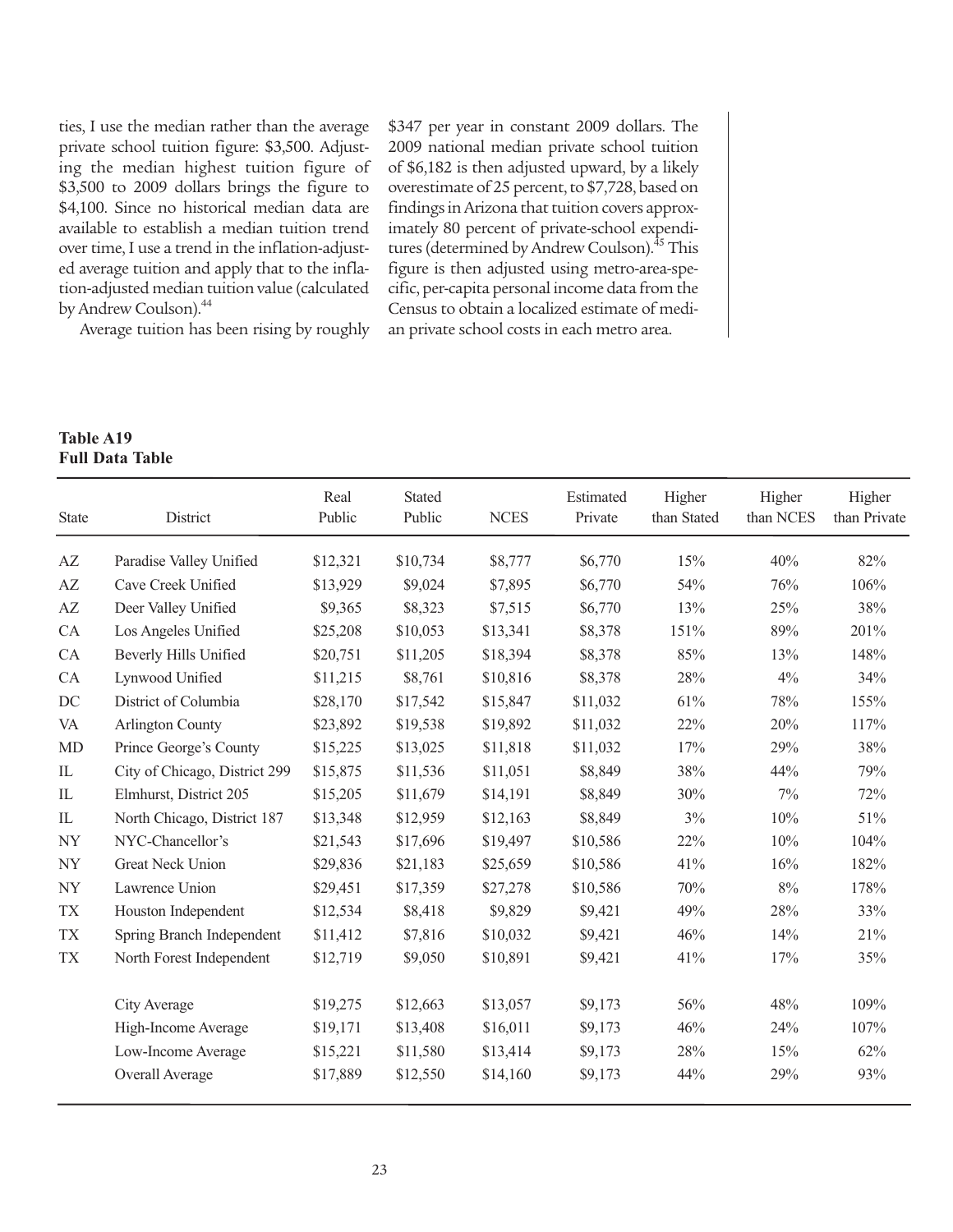ties, I use the median rather than the average private school tuition figure: \$3,500. Adjusting the median highest tuition figure of \$3,500 to 2009 dollars brings the figure to \$4,100. Since no historical median data are available to establish a median tuition trend over time, I use a trend in the inflation-adjusted average tuition and apply that to the inflation-adjusted median tuition value (calculated by Andrew Coulson).<sup>44</sup>

\$347 per year in constant 2009 dollars. The 2009 national median private school tuition of \$6,182 is then adjusted upward, by a likely overestimate of 25 percent, to \$7,728, based on findings in Arizona that tuition covers approximately 80 percent of private-school expenditures (determined by Andrew Coulson).<sup>45</sup> This figure is then adjusted using metro-area-specific, per-capita personal income data from the Census to obtain a localized estimate of median private school costs in each metro area.

Average tuition has been rising by roughly

# **Table A19 Full Data Table**

| <b>State</b> | District                      | Real<br>Public | <b>Stated</b><br>Public | <b>NCES</b> | Estimated<br>Private | Higher<br>than Stated | Higher<br>than NCES | Higher<br>than Private |
|--------------|-------------------------------|----------------|-------------------------|-------------|----------------------|-----------------------|---------------------|------------------------|
| AZ           | Paradise Valley Unified       | \$12,321       | \$10,734                | \$8,777     | \$6,770              | 15%                   | 40%                 | 82%                    |
| AZ           | Cave Creek Unified            | \$13,929       | \$9,024                 | \$7,895     | \$6,770              | 54%                   | 76%                 | 106%                   |
| AZ           | Deer Valley Unified           | \$9,365        | \$8,323                 | \$7,515     | \$6,770              | 13%                   | 25%                 | 38%                    |
| CA           | Los Angeles Unified           | \$25,208       | \$10,053                | \$13,341    | \$8,378              | 151%                  | 89%                 | 201%                   |
| CA           | Beverly Hills Unified         | \$20,751       | \$11,205                | \$18,394    | \$8,378              | 85%                   | 13%                 | 148%                   |
| CA           | Lynwood Unified               | \$11,215       | \$8,761                 | \$10,816    | \$8,378              | 28%                   | 4%                  | 34%                    |
| DC           | District of Columbia          | \$28,170       | \$17,542                | \$15,847    | \$11,032             | 61%                   | 78%                 | 155%                   |
| <b>VA</b>    | <b>Arlington County</b>       | \$23,892       | \$19,538                | \$19,892    | \$11,032             | 22%                   | 20%                 | 117%                   |
| <b>MD</b>    | Prince George's County        | \$15,225       | \$13,025                | \$11,818    | \$11,032             | 17%                   | 29%                 | 38%                    |
| IL           | City of Chicago, District 299 | \$15,875       | \$11,536                | \$11,051    | \$8,849              | 38%                   | 44%                 | 79%                    |
| IL           | Elmhurst, District 205        | \$15,205       | \$11,679                | \$14,191    | \$8,849              | 30%                   | $7\%$               | 72%                    |
| $_{\rm IL}$  | North Chicago, District 187   | \$13,348       | \$12,959                | \$12,163    | \$8,849              | 3%                    | 10%                 | 51%                    |
| NY           | NYC-Chancellor's              | \$21,543       | \$17,696                | \$19,497    | \$10,586             | 22%                   | 10%                 | 104%                   |
| NY           | Great Neck Union              | \$29,836       | \$21,183                | \$25,659    | \$10,586             | 41%                   | 16%                 | 182%                   |
| NY           | Lawrence Union                | \$29,451       | \$17,359                | \$27,278    | \$10,586             | 70%                   | 8%                  | 178%                   |
| TX           | Houston Independent           | \$12,534       | \$8,418                 | \$9,829     | \$9,421              | 49%                   | 28%                 | 33%                    |
| TX           | Spring Branch Independent     | \$11,412       | \$7,816                 | \$10,032    | \$9,421              | 46%                   | 14%                 | 21%                    |
| TX           | North Forest Independent      | \$12,719       | \$9,050                 | \$10,891    | \$9,421              | 41%                   | 17%                 | 35%                    |
|              | City Average                  | \$19,275       | \$12,663                | \$13,057    | \$9,173              | 56%                   | 48%                 | 109%                   |
|              | High-Income Average           | \$19,171       | \$13,408                | \$16,011    | \$9,173              | 46%                   | 24%                 | 107%                   |
|              | Low-Income Average            | \$15,221       | \$11,580                | \$13,414    | \$9,173              | 28%                   | 15%                 | 62%                    |
|              | Overall Average               | \$17,889       | \$12,550                | \$14,160    | \$9,173              | 44%                   | 29%                 | 93%                    |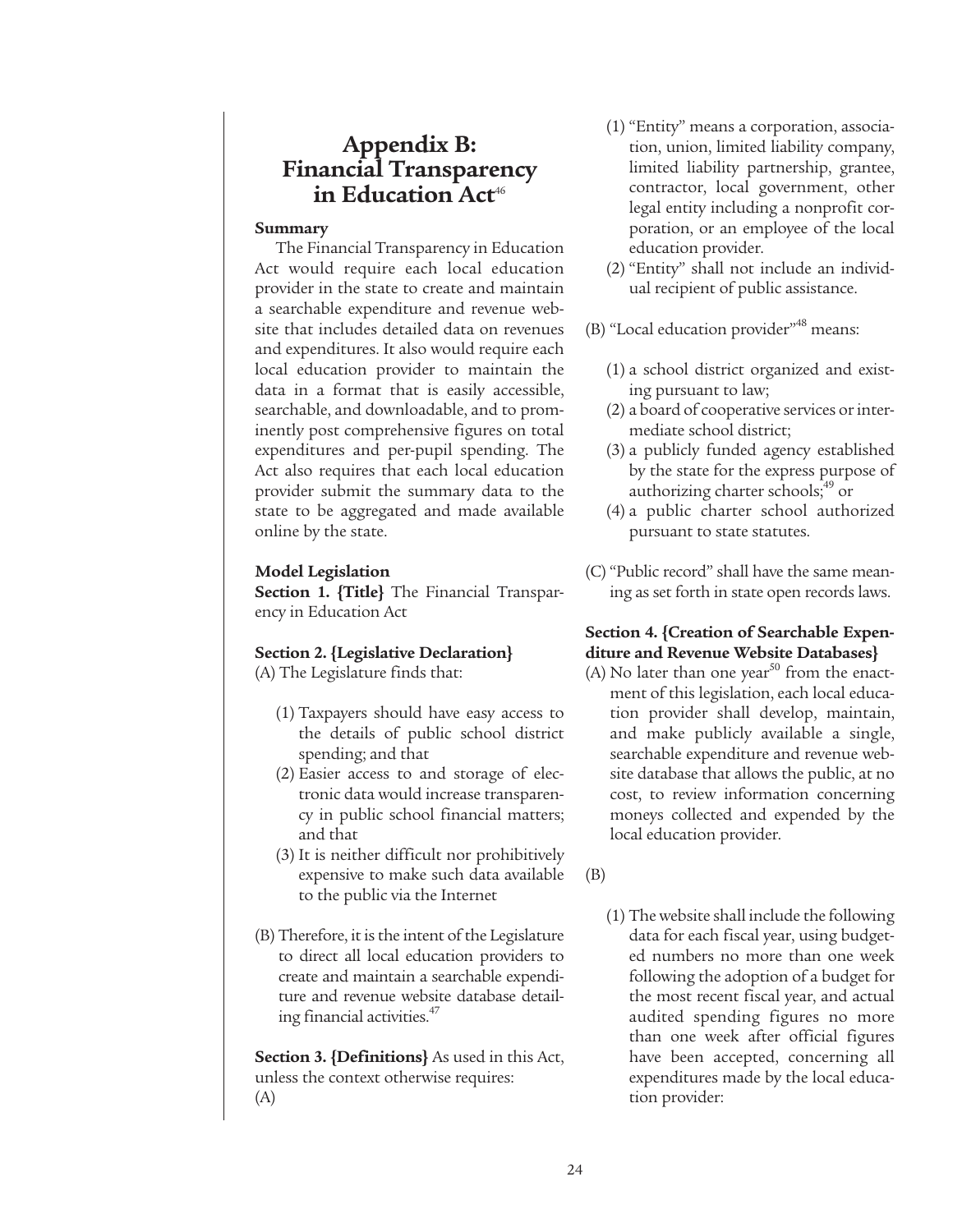# **Appendix B: Financial Transparency in Education Act<sup>46</sup>**

#### **Summary**

The Financial Transparency in Education Act would require each local education provider in the state to create and maintain a searchable expenditure and revenue website that includes detailed data on revenues and expenditures. It also would require each local education provider to maintain the data in a format that is easily accessible, searchable, and downloadable, and to prominently post comprehensive figures on total expenditures and per-pupil spending. The Act also requires that each local education provider submit the summary data to the state to be aggregated and made available online by the state.

#### **Model Legislation**

**Section 1. {Title}** The Financial Transparency in Education Act

### **Section 2. {Legislative Declaration}**

(A) The Legislature finds that:

- (1) Taxpayers should have easy access to the details of public school district spending; and that
- (2) Easier access to and storage of electronic data would increase transparency in public school financial matters; and that
- (3) It is neither difficult nor prohibitively expensive to make such data available to the public via the Internet
- (B) Therefore, it is the intent of the Legislature to direct all local education providers to create and maintain a searchable expenditure and revenue website database detailing financial activities.<sup>47</sup>

**Section 3. {Definitions}** As used in this Act, unless the context otherwise requires: (A)

- (1) "Entity" means a corporation, association, union, limited liability company, limited liability partnership, grantee, contractor, local government, other legal entity including a nonprofit corporation, or an employee of the local education provider.
- (2) "Entity" shall not include an individual recipient of public assistance.
- (B) "Local education provider"<sup>48</sup> means:
	- (1) a school district organized and existing pursuant to law;
	- (2) a board of cooperative services or intermediate school district;
	- (3) a publicly funded agency established by the state for the express purpose of authorizing charter schools;<sup>49</sup> or
	- (4) a public charter school authorized pursuant to state statutes.
- (C) "Public record" shall have the same meaning as set forth in state open records laws.

# **Section 4. {Creation of Searchable Expenditure and Revenue Website Databases}**

(A) No later than one year<sup>50</sup> from the enactment of this legislation, each local education provider shall develop, maintain, and make publicly available a single, searchable expenditure and revenue website database that allows the public, at no cost, to review information concerning moneys collected and expended by the local education provider.

(B)

(1) The website shall include the following data for each fiscal year, using budgeted numbers no more than one week following the adoption of a budget for the most recent fiscal year, and actual audited spending figures no more than one week after official figures have been accepted, concerning all expenditures made by the local education provider: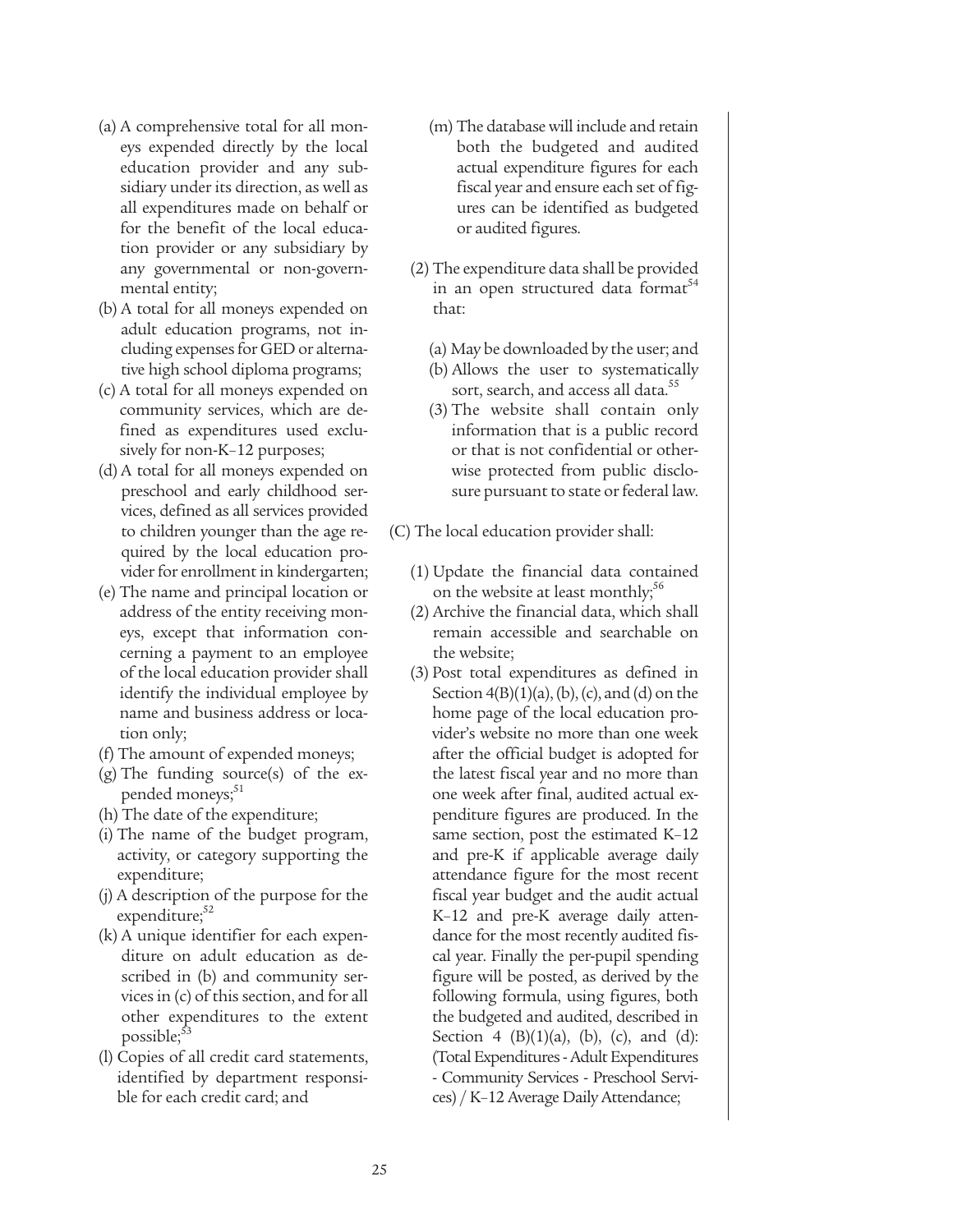- (a) A comprehensive total for all moneys expended directly by the local education provider and any subsidiary under its direction, as well as all expenditures made on behalf or for the benefit of the local education provider or any subsidiary by any governmental or non-governmental entity;
- (b) A total for all moneys expended on adult education programs, not including expenses for GED or alternative high school diploma programs;
- (c) A total for all moneys expended on community services, which are defined as expenditures used exclusively for non-K–12 purposes;
- (d) A total for all moneys expended on preschool and early childhood services, defined as all services provided to children younger than the age required by the local education provider for enrollment in kindergarten;
- (e) The name and principal location or address of the entity receiving moneys, except that information concerning a payment to an employee of the local education provider shall identify the individual employee by name and business address or location only;
- (f) The amount of expended moneys;
- (g) The funding source(s) of the expended moneys;<sup>51</sup>
- (h) The date of the expenditure;
- (i) The name of the budget program, activity, or category supporting the expenditure;
- (j) A description of the purpose for the  $expenditure;$ <sup>52</sup>
- (k) A unique identifier for each expenditure on adult education as described in (b) and community services in (c) of this section, and for all other expenditures to the extent possible; $53$
- (l) Copies of all credit card statements, identified by department responsible for each credit card; and
- (m) The database will include and retain both the budgeted and audited actual expenditure figures for each fiscal year and ensure each set of figures can be identified as budgeted or audited figures.
- (2) The expenditure data shall be provided in an open structured data format<sup>54</sup> that:
	- (a) May be downloaded by the user; and
	- (b) Allows the user to systematically sort, search, and access all data.<sup>55</sup>
	- (3) The website shall contain only information that is a public record or that is not confidential or otherwise protected from public disclosure pursuant to state or federal law.
- (C) The local education provider shall:
	- (1) Update the financial data contained on the website at least monthly;<sup>56</sup>
	- (2) Archive the financial data, which shall remain accessible and searchable on the website;
	- (3) Post total expenditures as defined in Section  $4(B)(1)(a)$ , (b), (c), and (d) on the home page of the local education provider's website no more than one week after the official budget is adopted for the latest fiscal year and no more than one week after final, audited actual expenditure figures are produced. In the same section, post the estimated K–12 and pre-K if applicable average daily attendance figure for the most recent fiscal year budget and the audit actual K–12 and pre-K average daily attendance for the most recently audited fiscal year. Finally the per-pupil spending figure will be posted, as derived by the following formula, using figures, both the budgeted and audited, described in Section 4  $(B)(1)(a)$ ,  $(b)$ ,  $(c)$ , and  $(d)$ : (Total Expenditures - Adult Expenditures - Community Services - Preschool Services) / K–12 Average Daily Attendance;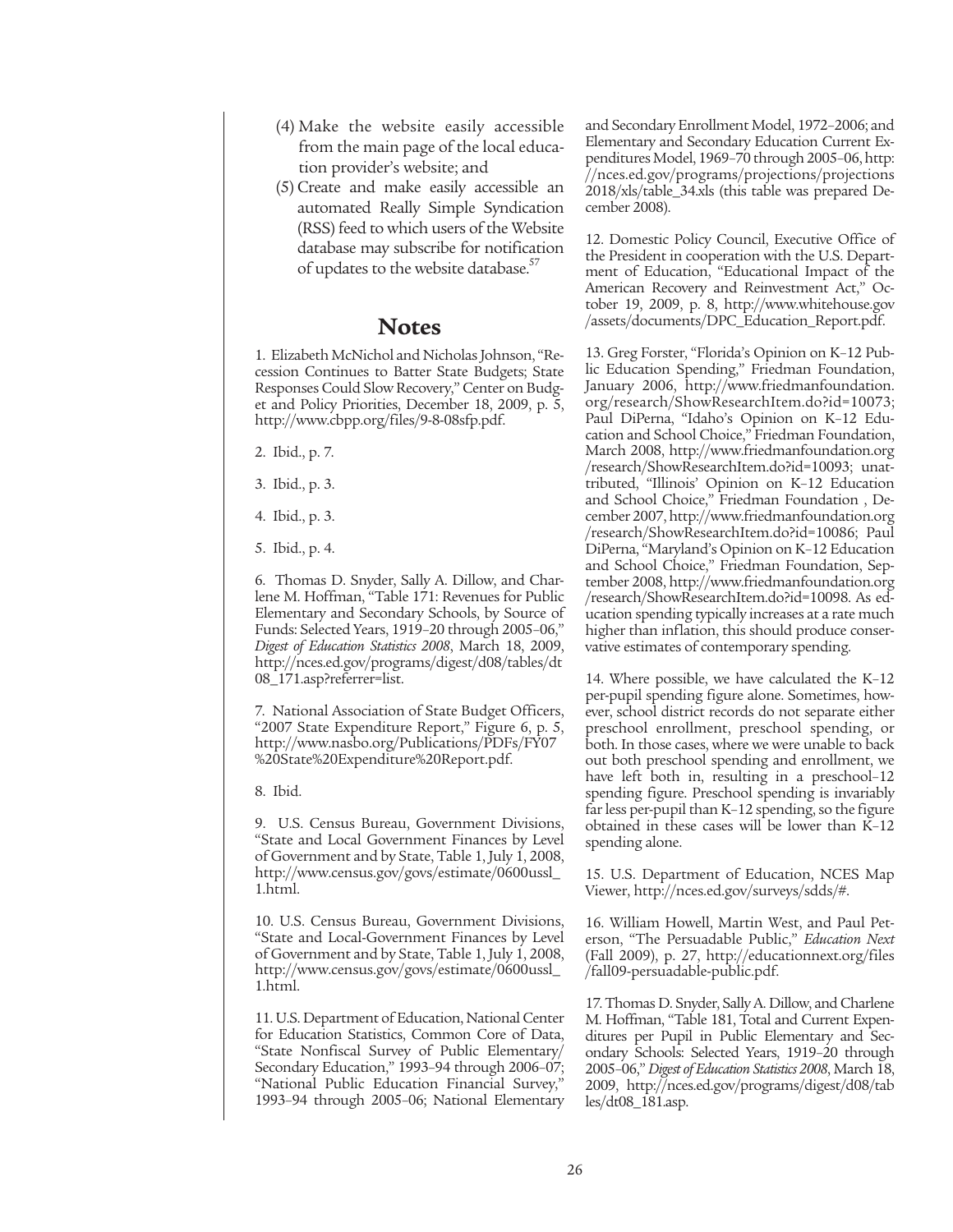- (4) Make the website easily accessible from the main page of the local education provider's website; and
- (5) Create and make easily accessible an automated Really Simple Syndication (RSS) feed to which users of the Website database may subscribe for notification of updates to the website database.<sup>57</sup>

# **Notes**

1. Elizabeth McNichol and Nicholas Johnson, "Recession Continues to Batter State Budgets; State Responses Could Slow Recovery," Center on Budget and Policy Priorities, December 18, 2009, p. 5, http://www.cbpp.org/files/9-8-08sfp.pdf.

- 2. Ibid., p. 7.
- 3. Ibid., p. 3.
- 4. Ibid., p. 3.
- 5. Ibid., p. 4.

6. Thomas D. Snyder, Sally A. Dillow, and Charlene M. Hoffman, "Table 171: Revenues for Public Elementary and Secondary Schools, by Source of Funds: Selected Years, 1919–20 through 2005–06," *Digest of Education Statistics 2008*, March 18, 2009, http://nces.ed.gov/programs/digest/d08/tables/dt 08\_171.asp?referrer=list.

7. National Association of State Budget Officers, "2007 State Expenditure Report," Figure 6, p. 5, http://www.nasbo.org/Publications/PDFs/FY07 %20State%20Expenditure%20Report.pdf.

8. Ibid.

9. U.S. Census Bureau, Government Divisions, "State and Local Government Finances by Level of Government and by State, Table 1, July 1, 2008, http://www.census.gov/govs/estimate/0600ussl\_ 1.html.

10. U.S. Census Bureau, Government Divisions, "State and Local-Government Finances by Level of Government and by State, Table 1, July 1, 2008, http://www.census.gov/govs/estimate/0600ussl\_ 1.html.

11. U.S. Department of Education, National Center for Education Statistics, Common Core of Data, "State Nonfiscal Survey of Public Elementary/ Secondary Education," 1993–94 through 2006–07; "National Public Education Financial Survey," 1993–94 through 2005–06; National Elementary and Secondary Enrollment Model, 1972–2006; and Elementary and Secondary Education Current Expenditures Model, 1969–70 through 2005–06, http: //nces.ed.gov/programs/projections/projections 2018/xls/table\_34.xls (this table was prepared December 2008).

12. Domestic Policy Council, Executive Office of the President in cooperation with the U.S. Department of Education, "Educational Impact of the American Recovery and Reinvestment Act," October 19, 2009, p. 8, http://www.whitehouse.gov /assets/documents/DPC\_Education\_Report.pdf.

13. Greg Forster, "Florida's Opinion on K–12 Public Education Spending," Friedman Foundation, January 2006, http://www.friedmanfoundation. org/research/ShowResearchItem.do?id=10073; Paul DiPerna, "Idaho's Opinion on K–12 Education and School Choice," Friedman Foundation, March 2008, http://www.friedmanfoundation.org /research/ShowResearchItem.do?id=10093; unattributed, "Illinois' Opinion on K–12 Education and School Choice," Friedman Foundation , December 2007, http://www.friedmanfoundation.org /research/ShowResearchItem.do?id=10086; Paul DiPerna, "Maryland's Opinion on K–12 Education and School Choice," Friedman Foundation, September 2008, http://www.friedmanfoundation.org /research/ShowResearchItem.do?id=10098. As education spending typically increases at a rate much higher than inflation, this should produce conservative estimates of contemporary spending.

14. Where possible, we have calculated the K–12 per-pupil spending figure alone. Sometimes, however, school district records do not separate either preschool enrollment, preschool spending, or both. In those cases, where we were unable to back out both preschool spending and enrollment, we have left both in, resulting in a preschool–12 spending figure. Preschool spending is invariably far less per-pupil than K–12 spending, so the figure obtained in these cases will be lower than K–12 spending alone.

15. U.S. Department of Education, NCES Map Viewer, http://nces.ed.gov/surveys/sdds/#.

16. William Howell, Martin West, and Paul Peterson, "The Persuadable Public," *Education Next* (Fall 2009), p. 27, http://educationnext.org/files /fall09-persuadable-public.pdf.

17. Thomas D. Snyder, Sally A. Dillow, and Charlene M. Hoffman, "Table 181, Total and Current Expenditures per Pupil in Public Elementary and Secondary Schools: Selected Years, 1919–20 through 2005–06," *Digest of Education Statistics 2008*, March 18, 2009, http://nces.ed.gov/programs/digest/d08/tab  $les/dt08_181.$ asp.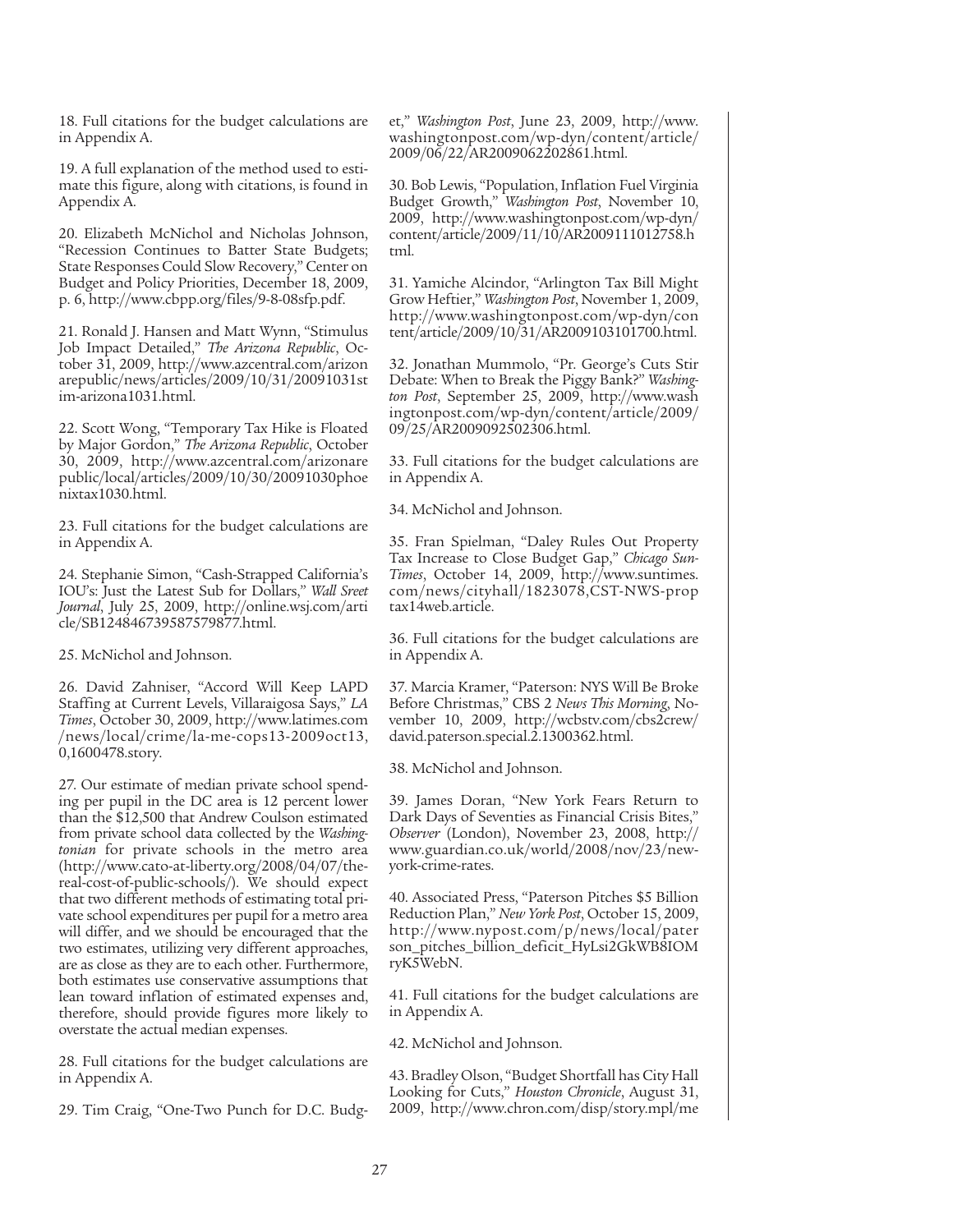18. Full citations for the budget calculations are in Appendix A.

19. A full explanation of the method used to estimate this figure, along with citations, is found in Appendix A.

20. Elizabeth McNichol and Nicholas Johnson, "Recession Continues to Batter State Budgets; State Responses Could Slow Recovery," Center on Budget and Policy Priorities, December 18, 2009, p. 6, http://www.cbpp.org/files/9-8-08sfp.pdf.

21. Ronald J. Hansen and Matt Wynn, "Stimulus Job Impact Detailed," *The Arizona Republic*, October 31, 2009, http://www.azcentral.com/arizon arepublic/news/articles/2009/10/31/20091031st im-arizona1031.html.

22. Scott Wong, "Temporary Tax Hike is Floated by Major Gordon," *The Arizona Republic*, October 30, 2009, http://www.azcentral.com/arizonare public/local/articles/2009/10/30/20091030phoe nixtax1030.html.

23. Full citations for the budget calculations are in Appendix A.

24. Stephanie Simon, "Cash-Strapped California's IOU's: Just the Latest Sub for Dollars," *Wall Sreet Journal*, July 25, 2009, http://online.wsj.com/arti cle/SB124846739587579877.html.

25. McNichol and Johnson.

26. David Zahniser, "Accord Will Keep LAPD Staffing at Current Levels, Villaraigosa Says," *LA Times*, October 30, 2009, http://www.latimes.com /news/local/crime/la-me-cops13-2009oct13, 0,1600478.story.

27. Our estimate of median private school spending per pupil in the DC area is 12 percent lower than the \$12,500 that Andrew Coulson estimated from private school data collected by the *Washingtonian* for private schools in the metro area (http://www.cato-at-liberty.org/2008/04/07/thereal-cost-of-public-schools/). We should expect that two different methods of estimating total private school expenditures per pupil for a metro area will differ, and we should be encouraged that the two estimates, utilizing very different approaches, are as close as they are to each other. Furthermore, both estimates use conservative assumptions that lean toward inflation of estimated expenses and, therefore, should provide figures more likely to overstate the actual median expenses.

28. Full citations for the budget calculations are in Appendix A.

29. Tim Craig, "One-Two Punch for D.C. Budg-

et," *Washington Post*, June 23, 2009, http://www. washingtonpost.com/wp-dyn/content/article/ 2009/06/22/AR2009062202861.html.

30. Bob Lewis, "Population, Inflation Fuel Virginia Budget Growth," *Washington Post*, November 10, 2009, http://www.washingtonpost.com/wp-dyn/ content/article/2009/11/10/AR2009111012758.h tml.

31. Yamiche Alcindor, "Arlington Tax Bill Might Grow Heftier," *Washington Post*, November 1, 2009, http://www.washingtonpost.com/wp-dyn/con tent/article/2009/10/31/AR2009103101700.html.

32. Jonathan Mummolo, "Pr. George's Cuts Stir Debate: When to Break the Piggy Bank?" *Washington Post*, September 25, 2009, http://www.wash ingtonpost.com/wp-dyn/content/article/2009/ 09/25/AR2009092502306.html.

33. Full citations for the budget calculations are in Appendix A.

34. McNichol and Johnson.

35. Fran Spielman, "Daley Rules Out Property Tax Increase to Close Budget Gap," *Chicago Sun-Times*, October 14, 2009, http://www.suntimes. com/news/cityhall/1823078,CST-NWS-prop tax14web.article.

36. Full citations for the budget calculations are in Appendix A.

37. Marcia Kramer, "Paterson: NYS Will Be Broke Before Christmas," CBS 2 *News This Morning*, November 10, 2009, http://wcbstv.com/cbs2crew/ david.paterson.special.2.1300362.html.

38. McNichol and Johnson.

39. James Doran, "New York Fears Return to Dark Days of Seventies as Financial Crisis Bites," *Observer* (London), November 23, 2008, http:// www.guardian.co.uk/world/2008/nov/23/newyork-crime-rates.

40. Associated Press, "Paterson Pitches \$5 Billion Reduction Plan," *New York Post*, October 15, 2009, http://www.nypost.com/p/news/local/pater son\_pitches\_billion\_deficit\_HyLsi2GkWB8IOM ryK5WebN.

41. Full citations for the budget calculations are in Appendix A.

42. McNichol and Johnson.

43. Bradley Olson, "Budget Shortfall has City Hall Looking for Cuts," *Houston Chronicle*, August 31, 2009, http://www.chron.com/disp/story.mpl/me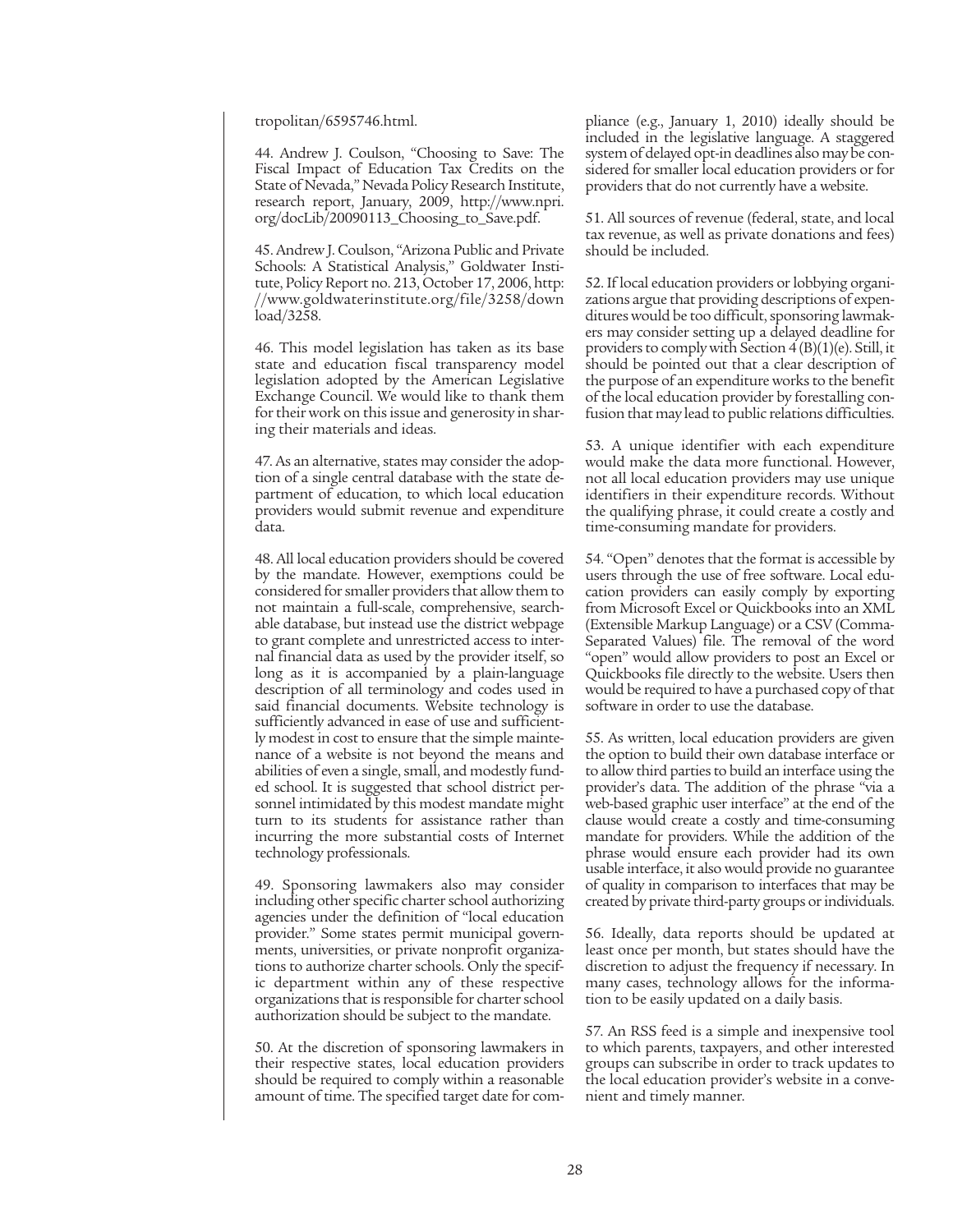tropolitan/6595746.html.

44. Andrew J. Coulson, "Choosing to Save: The Fiscal Impact of Education Tax Credits on the State of Nevada," Nevada Policy Research Institute, research report, January, 2009, http://www.npri. org/docLib/20090113\_Choosing\_to\_Save.pdf.

45. Andrew J. Coulson, "Arizona Public and Private Schools: A Statistical Analysis," Goldwater Institute, Policy Report no. 213, October 17, 2006, http: //www.goldwaterinstitute.org/file/3258/down load/3258.

46. This model legislation has taken as its base state and education fiscal transparency model legislation adopted by the American Legislative Exchange Council. We would like to thank them for their work on this issue and generosity in sharing their materials and ideas.

47. As an alternative, states may consider the adoption of a single central database with the state department of education, to which local education providers would submit revenue and expenditure data.

48. All local education providers should be covered by the mandate. However, exemptions could be considered for smaller providers that allow them to not maintain a full-scale, comprehensive, searchable database, but instead use the district webpage to grant complete and unrestricted access to internal financial data as used by the provider itself, so long as it is accompanied by a plain-language description of all terminology and codes used in said financial documents. Website technology is sufficiently advanced in ease of use and sufficiently modest in cost to ensure that the simple maintenance of a website is not beyond the means and abilities of even a single, small, and modestly funded school. It is suggested that school district personnel intimidated by this modest mandate might turn to its students for assistance rather than incurring the more substantial costs of Internet technology professionals.

49. Sponsoring lawmakers also may consider including other specific charter school authorizing agencies under the definition of "local education provider." Some states permit municipal governments, universities, or private nonprofit organizations to authorize charter schools. Only the specific department within any of these respective organizations that is responsible for charter school authorization should be subject to the mandate.

50. At the discretion of sponsoring lawmakers in their respective states, local education providers should be required to comply within a reasonable amount of time. The specified target date for com-

pliance (e.g., January 1, 2010) ideally should be included in the legislative language. A staggered system of delayed opt-in deadlines also may be considered for smaller local education providers or for providers that do not currently have a website.

51. All sources of revenue (federal, state, and local tax revenue, as well as private donations and fees) should be included.

52. If local education providers or lobbying organizations argue that providing descriptions of expenditures would be too difficult, sponsoring lawmakers may consider setting up a delayed deadline for providers to comply with Section 4 (B)(1)(e). Still, it should be pointed out that a clear description of the purpose of an expenditure works to the benefit of the local education provider by forestalling confusion that may lead to public relations difficulties.

53. A unique identifier with each expenditure would make the data more functional. However, not all local education providers may use unique identifiers in their expenditure records. Without the qualifying phrase, it could create a costly and time-consuming mandate for providers.

54. "Open" denotes that the format is accessible by users through the use of free software. Local education providers can easily comply by exporting from Microsoft Excel or Quickbooks into an XML (Extensible Markup Language) or a CSV (Comma-Separated Values) file. The removal of the word "open" would allow providers to post an Excel or Quickbooks file directly to the website. Users then would be required to have a purchased copy of that software in order to use the database.

55. As written, local education providers are given the option to build their own database interface or to allow third parties to build an interface using the provider's data. The addition of the phrase "via a web-based graphic user interface" at the end of the clause would create a costly and time-consuming mandate for providers. While the addition of the phrase would ensure each provider had its own usable interface, it also would provide no guarantee of quality in comparison to interfaces that may be created by private third-party groups or individuals.

56. Ideally, data reports should be updated at least once per month, but states should have the discretion to adjust the frequency if necessary. In many cases, technology allows for the information to be easily updated on a daily basis.

57. An RSS feed is a simple and inexpensive tool to which parents, taxpayers, and other interested groups can subscribe in order to track updates to the local education provider's website in a convenient and timely manner.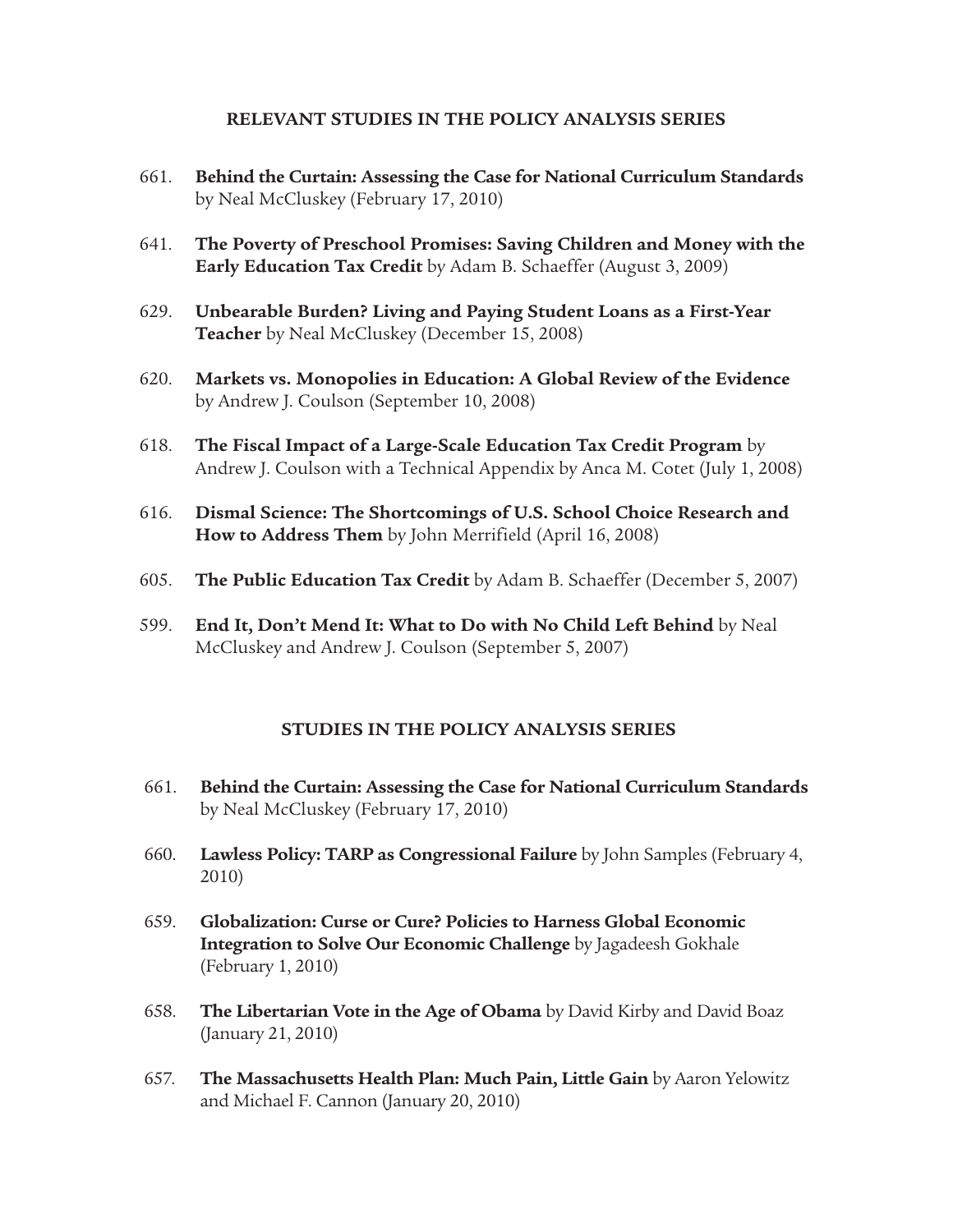# **RELEVANT STUDIES IN THE POLICY ANALYSIS SERIES**

- 661. **Behind the Curtain: Assessing the Case for National Curriculum Standards** by Neal McCluskey (February 17, 2010)
- 641. **The Poverty of Preschool Promises: Saving Children and Money with the Early Education Tax Credit** by Adam B. Schaeffer (August 3, 2009)
- 629. **Unbearable Burden? Living and Paying Student Loans as a First-Year Teacher** by Neal McCluskey (December 15, 2008)
- 620. **Markets vs. Monopolies in Education: A Global Review of the Evidence** by Andrew J. Coulson (September 10, 2008)
- 618. **The Fiscal Impact of a Large-Scale Education Tax Credit Program** by Andrew J. Coulson with a Technical Appendix by Anca M. Cotet (July 1, 2008)
- 616. **Dismal Science: The Shortcomings of U.S. School Choice Research and How to Address Them** by John Merrifield (April 16, 2008)
- 605. **The Public Education Tax Credit** by Adam B. Schaeffer (December 5, 2007)
- 599. **End It, Don't Mend It: What to Do with No Child Left Behind** by Neal McCluskey and Andrew J. Coulson (September 5, 2007)

# **STUDIES IN THE POLICY ANALYSIS SERIES**

- 661. **Behind the Curtain: Assessing the Case for National Curriculum Standards** by Neal McCluskey (February 17, 2010)
- 660. **Lawless Policy: TARP as Congressional Failure** by John Samples (February 4, 2010)
- 659. **Globalization: Curse or Cure? Policies to Harness Global Economic Integration to Solve Our Economic Challenge** by Jagadeesh Gokhale (February 1, 2010)
- 658. **The Libertarian Vote in the Age of Obama** by David Kirby and David Boaz (January 21, 2010)
- 657. **The Massachusetts Health Plan: Much Pain, Little Gain** by Aaron Yelowitz and Michael F. Cannon (January 20, 2010)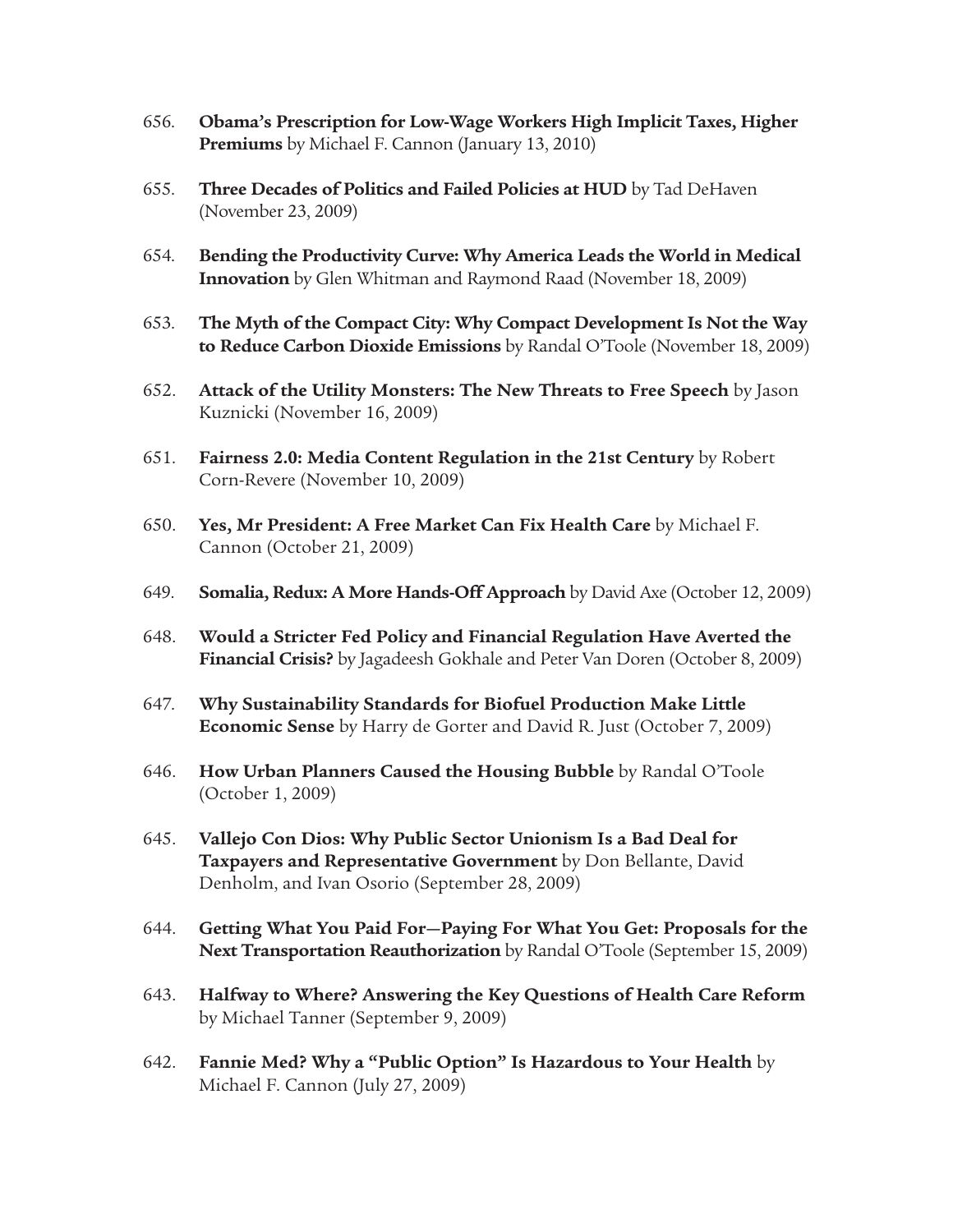- 656. **Obama's Prescription for Low-Wage Workers High Implicit Taxes, Higher Premiums** by Michael F. Cannon (January 13, 2010)
- 655. **Three Decades of Politics and Failed Policies at HUD** by Tad DeHaven (November 23, 2009)
- 654. **Bending the Productivity Curve: Why America Leads the World in Medical Innovation** by Glen Whitman and Raymond Raad (November 18, 2009)
- 653. **The Myth of the Compact City: Why Compact Development Is Not the Way to Reduce Carbon Dioxide Emissions** by Randal O'Toole (November 18, 2009)
- 652. **Attack of the Utility Monsters: The New Threats to Free Speech** by Jason Kuznicki (November 16, 2009)
- 651. **Fairness 2.0: Media Content Regulation in the 21st Century** by Robert Corn-Revere (November 10, 2009)
- 650. **Yes, Mr President: A Free Market Can Fix Health Care** by Michael F. Cannon (October 21, 2009)
- 649. **Somalia, Redux: A More Hands-Off Approach** by David Axe (October 12, 2009)
- 648. **Would a Stricter Fed Policy and Financial Regulation Have Averted the Financial Crisis?** by Jagadeesh Gokhale and Peter Van Doren (October 8, 2009)
- 647. **Why Sustainability Standards for Biofuel Production Make Little Economic Sense** by Harry de Gorter and David R. Just (October 7, 2009)
- 646. **How Urban Planners Caused the Housing Bubble** by Randal O'Toole (October 1, 2009)
- 645. **Vallejo Con Dios: Why Public Sector Unionism Is a Bad Deal for Taxpayers and Representative Government** by Don Bellante, David Denholm, and Ivan Osorio (September 28, 2009)
- 644. **Getting What You Paid For—Paying For What You Get: Proposals for the Next Transportation Reauthorization** by Randal O'Toole (September 15, 2009)
- 643. **Halfway to Where? Answering the Key Questions of Health Care Reform** by Michael Tanner (September 9, 2009)
- 642. **Fannie Med? Why a "Public Option" Is Hazardous to Your Health** by Michael F. Cannon (July 27, 2009)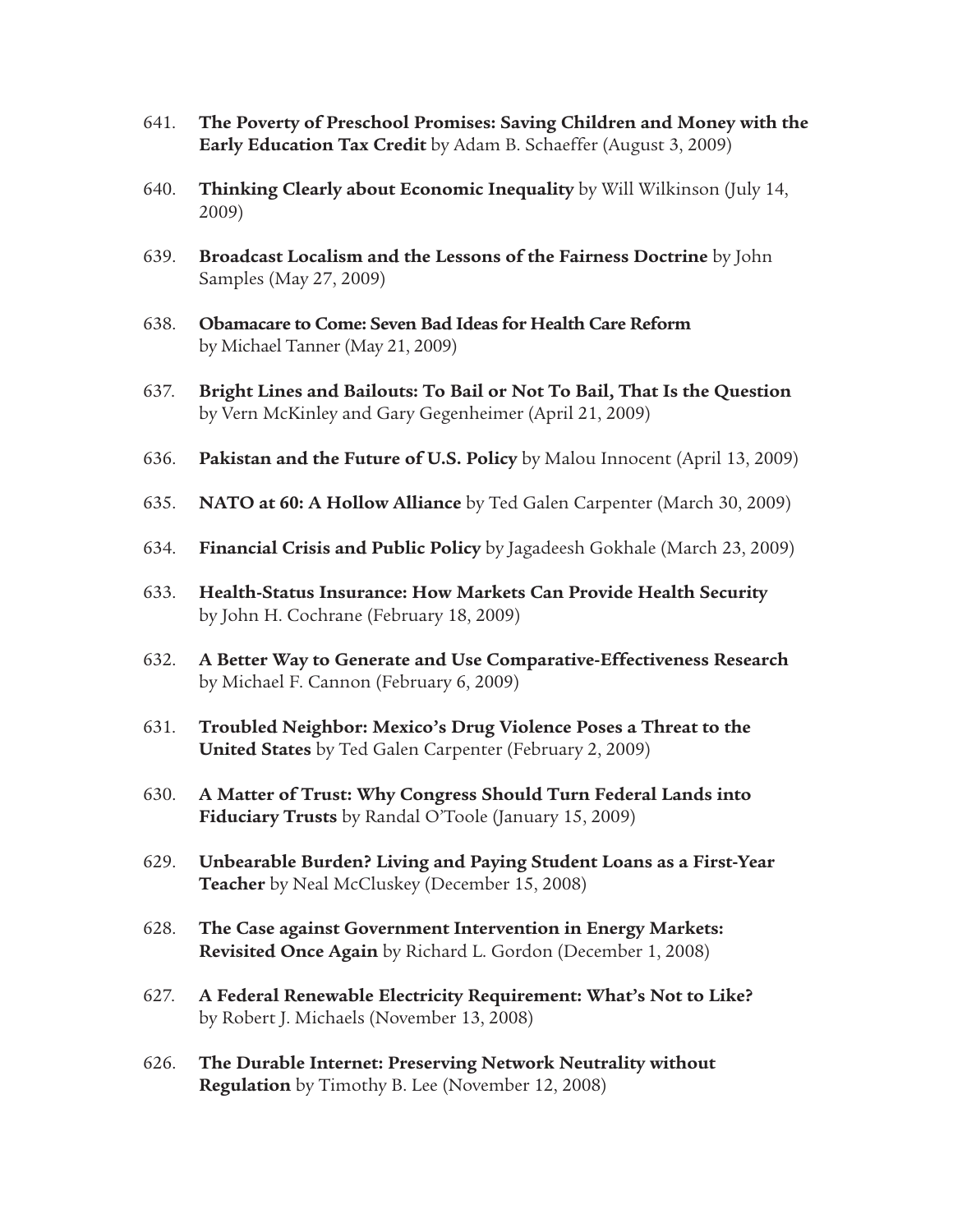- 641. **The Poverty of Preschool Promises: Saving Children and Money with the Early Education Tax Credit** by Adam B. Schaeffer (August 3, 2009)
- 640. **Thinking Clearly about Economic Inequality** by Will Wilkinson (July 14, 2009)
- 639. **Broadcast Localism and the Lessons of the Fairness Doctrine** by John Samples (May 27, 2009)
- 638. **Obamacare to Come: Seven Bad Ideas for Health Care Reform** by Michael Tanner (May 21, 2009)
- 637. **Bright Lines and Bailouts: To Bail or Not To Bail, That Is the Question** by Vern McKinley and Gary Gegenheimer (April 21, 2009)
- 636. **Pakistan and the Future of U.S. Policy** by Malou Innocent (April 13, 2009)
- 635. **NATO at 60: A Hollow Alliance** by Ted Galen Carpenter (March 30, 2009)
- 634. **Financial Crisis and Public Policy** by Jagadeesh Gokhale (March 23, 2009)
- 633. **Health-Status Insurance: How Markets Can Provide Health Security** by John H. Cochrane (February 18, 2009)
- 632. **A Better Way to Generate and Use Comparative-Effectiveness Research** by Michael F. Cannon (February 6, 2009)
- 631. **Troubled Neighbor: Mexico's Drug Violence Poses a Threat to the United States** by Ted Galen Carpenter (February 2, 2009)
- 630. **A Matter of Trust: Why Congress Should Turn Federal Lands into Fiduciary Trusts** by Randal O'Toole (January 15, 2009)
- 629. **Unbearable Burden? Living and Paying Student Loans as a First-Year Teacher** by Neal McCluskey (December 15, 2008)
- 628. **The Case against Government Intervention in Energy Markets: Revisited Once Again** by Richard L. Gordon (December 1, 2008)
- 627. **A Federal Renewable Electricity Requirement: What's Not to Like?** by Robert J. Michaels (November 13, 2008)
- 626. **The Durable Internet: Preserving Network Neutrality without Regulation** by Timothy B. Lee (November 12, 2008)